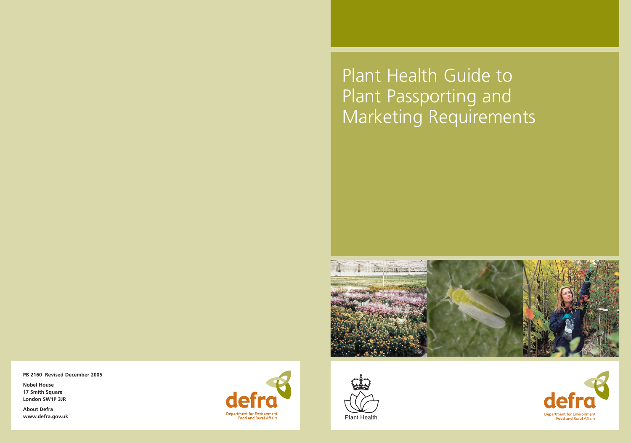**PB 2160 Revised December 2005**

**Nobel House 17 Smith Square London SW1P 3JR**

Plant Health Guide to Plant Passporting and Marketing Requirements



**About Defra www.defra.gov.uk**





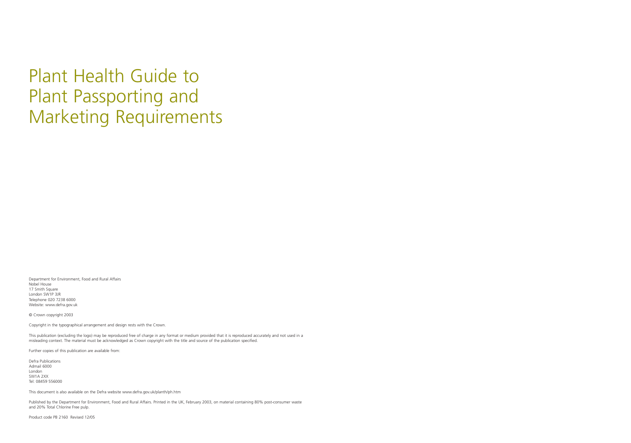Department for Environment, Food and Rural Affairs Nobel House 17 Smith Square London SW1P 3JR Telephone 020 7238 6000 Website: www.defra.gov.uk

© Crown copyright 2003

Copyright in the typographical arrangement and design rests with the Crown.

This publication (excluding the logo) may be reproduced free of charge in any format or medium provided that it is reproduced accurately and not used in a misleading context. The material must be acknowledged as Crown copyright with the title and source of the publication specified.

Further copies of this publication are available from:

Defra Publications Admail 6000 London SW1A 2XX Tel: 08459 556000

This document is also available on the Defra website www.defra.gov.uk/planth/ph.htm

Published by the Department for Environment, Food and Rural Affairs. Printed in the UK, February 2003, on material containing 80% post-consumer waste and 20% Total Chlorine Free pulp.

Product code PB 2160 Revised 12/05

# Plant Health Guide to Plant Passporting and Marketing Requirements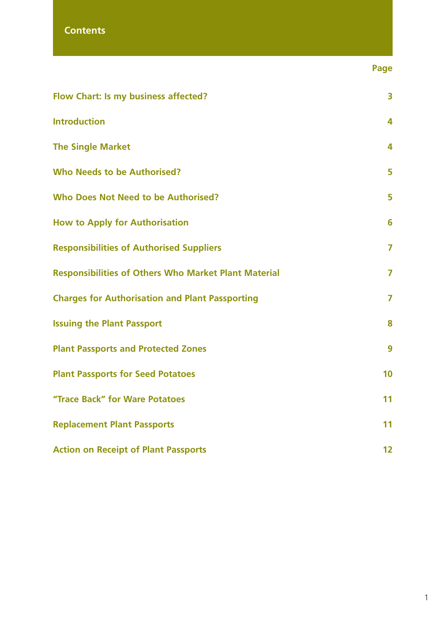# **Contents**

# **Page**

| Flow Chart: Is my business affected?                        | $\overline{\mathbf{3}}$ |
|-------------------------------------------------------------|-------------------------|
| <b>Introduction</b>                                         | $\overline{\mathbf{4}}$ |
| <b>The Single Market</b>                                    | 4                       |
| <b>Who Needs to be Authorised?</b>                          | 5                       |
| Who Does Not Need to be Authorised?                         | 5                       |
| <b>How to Apply for Authorisation</b>                       | 6                       |
| <b>Responsibilities of Authorised Suppliers</b>             | $\overline{7}$          |
| <b>Responsibilities of Others Who Market Plant Material</b> | $\overline{7}$          |
| <b>Charges for Authorisation and Plant Passporting</b>      | $\overline{7}$          |
| <b>Issuing the Plant Passport</b>                           | 8                       |
| <b>Plant Passports and Protected Zones</b>                  | 9                       |
| <b>Plant Passports for Seed Potatoes</b>                    | 10                      |
| "Trace Back" for Ware Potatoes                              | 11                      |
| <b>Replacement Plant Passports</b>                          | 11                      |
| <b>Action on Receipt of Plant Passports</b>                 | 12                      |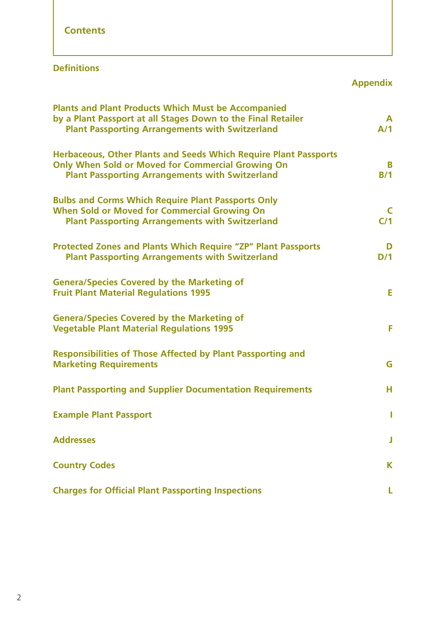# **Definitions**

# **Appendix**

| <b>Plants and Plant Products Which Must be Accompanied</b><br>by a Plant Passport at all Stages Down to the Final Retailer<br><b>Plant Passporting Arrangements with Switzerland</b>          | A<br>A/1 |
|-----------------------------------------------------------------------------------------------------------------------------------------------------------------------------------------------|----------|
| <b>Herbaceous, Other Plants and Seeds Which Require Plant Passports</b><br><b>Only When Sold or Moved for Commercial Growing On</b><br><b>Plant Passporting Arrangements with Switzerland</b> | B<br>B/1 |
| <b>Bulbs and Corms Which Require Plant Passports Only</b><br><b>When Sold or Moved for Commercial Growing On</b><br><b>Plant Passporting Arrangements with Switzerland</b>                    | C<br>C/1 |
| <b>Protected Zones and Plants Which Require "ZP" Plant Passports</b><br><b>Plant Passporting Arrangements with Switzerland</b>                                                                | D<br>D/1 |
| <b>Genera/Species Covered by the Marketing of</b><br><b>Fruit Plant Material Regulations 1995</b>                                                                                             | E.       |
| <b>Genera/Species Covered by the Marketing of</b><br><b>Vegetable Plant Material Regulations 1995</b>                                                                                         | F        |
| <b>Responsibilities of Those Affected by Plant Passporting and</b><br><b>Marketing Requirements</b>                                                                                           | G        |
| <b>Plant Passporting and Supplier Documentation Requirements</b>                                                                                                                              | н        |
| <b>Example Plant Passport</b>                                                                                                                                                                 | I        |
| <b>Addresses</b>                                                                                                                                                                              | J        |
| <b>Country Codes</b>                                                                                                                                                                          | K        |
| <b>Charges for Official Plant Passporting Inspections</b>                                                                                                                                     | L        |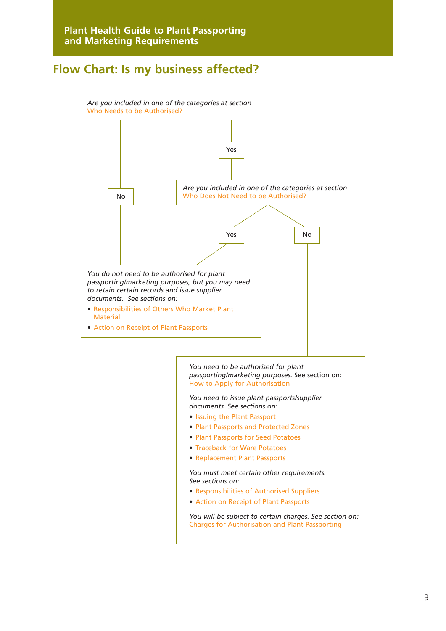# **Flow Chart: Is my business affected?**



*You need to be authorised for plant passporting/marketing purposes.* See section on: How to Apply for Authorisation

*You need to issue plant passports/supplier documents. See sections on:* 

- *•* Issuing the Plant Passport
- *•* Plant Passports and Protected Zones
- *•* Plant Passports for Seed Potatoes
- *•* Traceback for Ware Potatoes
- *•* Replacement Plant Passports

*You must meet certain other requirements. See sections on:* 

- *•* Responsibilities of Authorised Suppliers
- *•* Action on Receipt of Plant Passports

*You will be subject to certain charges. See section on:* Charges for Authorisation and Plant Passporting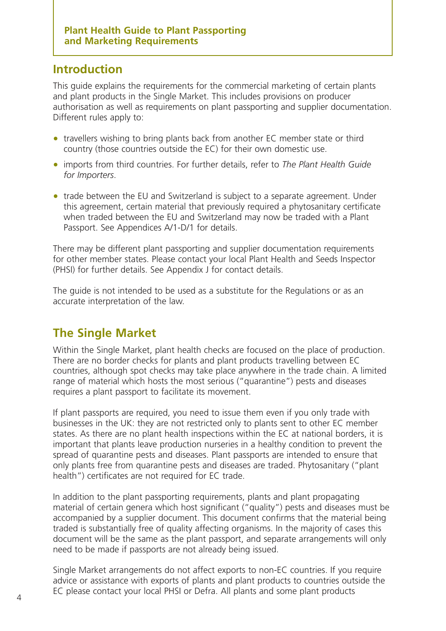# **Introduction**

This guide explains the requirements for the commercial marketing of certain plants and plant products in the Single Market. This includes provisions on producer authorisation as well as requirements on plant passporting and supplier documentation. Different rules apply to:

- travellers wishing to bring plants back from another EC member state or third country (those countries outside the EC) for their own domestic use.
- imports from third countries. For further details, refer to *The Plant Health Guide for Importers*.
- trade between the EU and Switzerland is subject to a separate agreement. Under this agreement, certain material that previously required a phytosanitary certificate when traded between the EU and Switzerland may now be traded with a Plant Passport. See Appendices A/1-D/1 for details.

There may be different plant passporting and supplier documentation requirements for other member states. Please contact your local Plant Health and Seeds Inspector (PHSI) for further details. See Appendix J for contact details.

The guide is not intended to be used as a substitute for the Regulations or as an accurate interpretation of the law.

# **The Single Market**

Within the Single Market, plant health checks are focused on the place of production. There are no border checks for plants and plant products travelling between EC countries, although spot checks may take place anywhere in the trade chain. A limited range of material which hosts the most serious ("quarantine") pests and diseases requires a plant passport to facilitate its movement.

If plant passports are required, you need to issue them even if you only trade with businesses in the UK: they are not restricted only to plants sent to other EC member states. As there are no plant health inspections within the EC at national borders, it is important that plants leave production nurseries in a healthy condition to prevent the spread of quarantine pests and diseases. Plant passports are intended to ensure that only plants free from quarantine pests and diseases are traded. Phytosanitary ("plant health") certificates are not required for EC trade.

In addition to the plant passporting requirements, plants and plant propagating material of certain genera which host significant ("quality") pests and diseases must be accompanied by a supplier document. This document confirms that the material being traded is substantially free of quality affecting organisms. In the majority of cases this document will be the same as the plant passport, and separate arrangements will only need to be made if passports are not already being issued.

Single Market arrangements do not affect exports to non-EC countries. If you require advice or assistance with exports of plants and plant products to countries outside the EC please contact your local PHSI or Defra. All plants and some plant products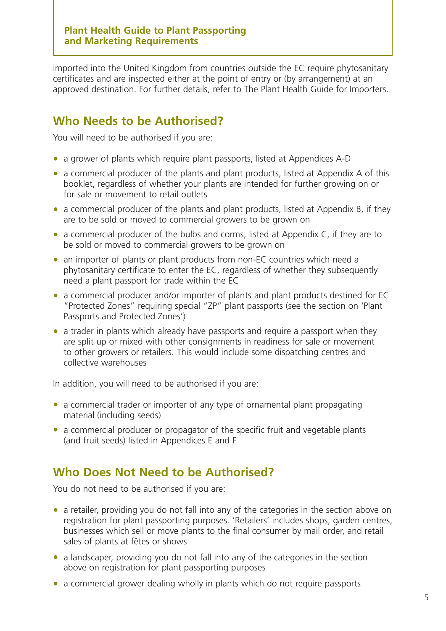imported into the United Kingdom from countries outside the EC require phytosanitary certificates and are inspected either at the point of entry or (by arrangement) at an approved destination. For further details, refer to The Plant Health Guide for Importers.

# **Who Needs to be Authorised?**

You will need to be authorised if you are:

- a grower of plants which require plant passports, listed at Appendices A-D
- a commercial producer of the plants and plant products, listed at Appendix A of this booklet, regardless of whether your plants are intended for further growing on or for sale or movement to retail outlets
- a commercial producer of the plants and plant products, listed at Appendix B, if they are to be sold or moved to commercial growers to be grown on
- a commercial producer of the bulbs and corms, listed at Appendix C, if they are to be sold or moved to commercial growers to be grown on
- an importer of plants or plant products from non-EC countries which need a phytosanitary certificate to enter the EC, regardless of whether they subsequently need a plant passport for trade within the EC
- a commercial producer and/or importer of plants and plant products destined for EC "Protected Zones" requiring special "ZP" plant passports (see the section on 'Plant Passports and Protected Zones')
- a trader in plants which already have passports and require a passport when they are split up or mixed with other consignments in readiness for sale or movement to other growers or retailers. This would include some dispatching centres and collective warehouses

In addition, you will need to be authorised if you are:

- a commercial trader or importer of any type of ornamental plant propagating material (including seeds)
- a commercial producer or propagator of the specific fruit and vegetable plants (and fruit seeds) listed in Appendices E and F

# **Who Does Not Need to be Authorised?**

You do not need to be authorised if you are:

- a retailer, providing you do not fall into any of the categories in the section above on registration for plant passporting purposes. 'Retailers' includes shops, garden centres, businesses which sell or move plants to the final consumer by mail order, and retail sales of plants at fêtes or shows
- a landscaper, providing you do not fall into any of the categories in the section above on registration for plant passporting purposes
- a commercial grower dealing wholly in plants which do not require passports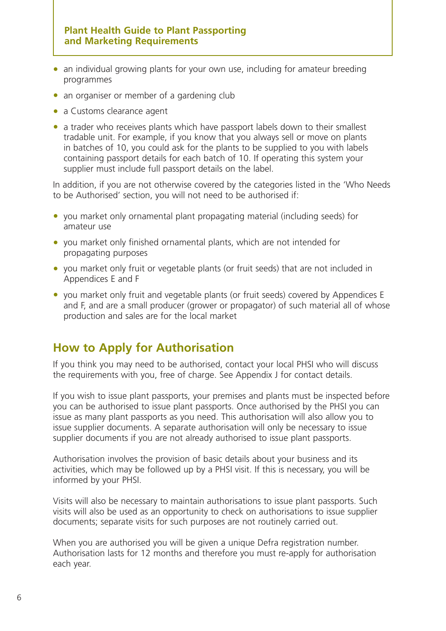- an individual growing plants for your own use, including for amateur breeding programmes
- an organiser or member of a gardening club
- a Customs clearance agent
- a trader who receives plants which have passport labels down to their smallest tradable unit. For example, if you know that you always sell or move on plants in batches of 10, you could ask for the plants to be supplied to you with labels containing passport details for each batch of 10. If operating this system your supplier must include full passport details on the label.

In addition, if you are not otherwise covered by the categories listed in the 'Who Needs to be Authorised' section, you will not need to be authorised if:

- you market only ornamental plant propagating material (including seeds) for amateur use
- you market only finished ornamental plants, which are not intended for propagating purposes
- you market only fruit or vegetable plants (or fruit seeds) that are not included in Appendices E and F
- you market only fruit and vegetable plants (or fruit seeds) covered by Appendices E and F, and are a small producer (grower or propagator) of such material all of whose production and sales are for the local market

# **How to Apply for Authorisation**

If you think you may need to be authorised, contact your local PHSI who will discuss the requirements with you, free of charge. See Appendix J for contact details.

If you wish to issue plant passports, your premises and plants must be inspected before you can be authorised to issue plant passports. Once authorised by the PHSI you can issue as many plant passports as you need. This authorisation will also allow you to issue supplier documents. A separate authorisation will only be necessary to issue supplier documents if you are not already authorised to issue plant passports.

Authorisation involves the provision of basic details about your business and its activities, which may be followed up by a PHSI visit. If this is necessary, you will be informed by your PHSI.

Visits will also be necessary to maintain authorisations to issue plant passports. Such visits will also be used as an opportunity to check on authorisations to issue supplier documents; separate visits for such purposes are not routinely carried out.

When you are authorised you will be given a unique Defra registration number. Authorisation lasts for 12 months and therefore you must re-apply for authorisation each year.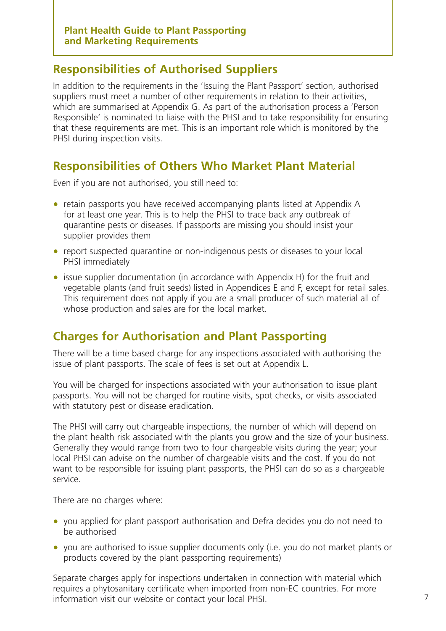# **Responsibilities of Authorised Suppliers**

In addition to the requirements in the 'Issuing the Plant Passport' section, authorised suppliers must meet a number of other requirements in relation to their activities, which are summarised at Appendix G. As part of the authorisation process a 'Person Responsible' is nominated to liaise with the PHSI and to take responsibility for ensuring that these requirements are met. This is an important role which is monitored by the PHSI during inspection visits.

# **Responsibilities of Others Who Market Plant Material**

Even if you are not authorised, you still need to:

- retain passports you have received accompanying plants listed at Appendix A for at least one year. This is to help the PHSI to trace back any outbreak of quarantine pests or diseases. If passports are missing you should insist your supplier provides them
- report suspected quarantine or non-indigenous pests or diseases to your local PHSI immediately
- issue supplier documentation (in accordance with Appendix H) for the fruit and vegetable plants (and fruit seeds) listed in Appendices E and F, except for retail sales. This requirement does not apply if you are a small producer of such material all of whose production and sales are for the local market.

# **Charges for Authorisation and Plant Passporting**

There will be a time based charge for any inspections associated with authorising the issue of plant passports. The scale of fees is set out at Appendix L.

You will be charged for inspections associated with your authorisation to issue plant passports. You will not be charged for routine visits, spot checks, or visits associated with statutory pest or disease eradication.

The PHSI will carry out chargeable inspections, the number of which will depend on the plant health risk associated with the plants you grow and the size of your business. Generally they would range from two to four chargeable visits during the year; your local PHSI can advise on the number of chargeable visits and the cost. If you do not want to be responsible for issuing plant passports, the PHSI can do so as a chargeable service.

There are no charges where:

- you applied for plant passport authorisation and Defra decides you do not need to be authorised
- you are authorised to issue supplier documents only (i.e. you do not market plants or products covered by the plant passporting requirements)

Separate charges apply for inspections undertaken in connection with material which requires a phytosanitary certificate when imported from non-EC countries. For more information visit our website or contact your local PHSI.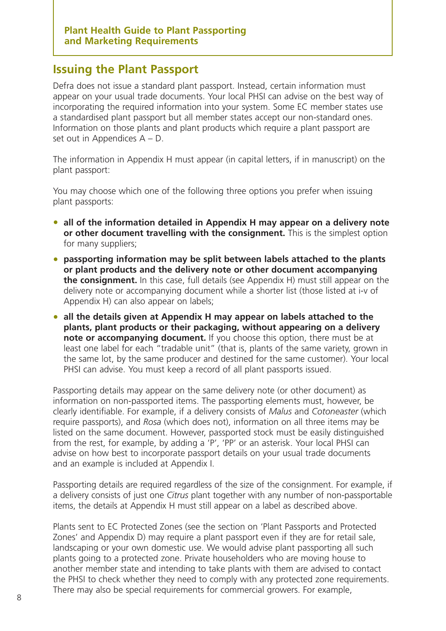# **Issuing the Plant Passport**

Defra does not issue a standard plant passport. Instead, certain information must appear on your usual trade documents. Your local PHSI can advise on the best way of incorporating the required information into your system. Some EC member states use a standardised plant passport but all member states accept our non-standard ones. Information on those plants and plant products which require a plant passport are set out in Appendices A – D.

The information in Appendix H must appear (in capital letters, if in manuscript) on the plant passport:

You may choose which one of the following three options you prefer when issuing plant passports:

- **all of the information detailed in Appendix H may appear on a delivery note or other document travelling with the consignment.** This is the simplest option for many suppliers;
- **passporting information may be split between labels attached to the plants or plant products and the delivery note or other document accompanying the consignment.** In this case, full details (see Appendix H) must still appear on the delivery note or accompanying document while a shorter list (those listed at i-v of Appendix H) can also appear on labels;
- **all the details given at Appendix H may appear on labels attached to the plants, plant products or their packaging, without appearing on a delivery note or accompanying document.** If you choose this option, there must be at least one label for each "tradable unit" (that is, plants of the same variety, grown in the same lot, by the same producer and destined for the same customer). Your local PHSI can advise. You must keep a record of all plant passports issued.

Passporting details may appear on the same delivery note (or other document) as information on non-passported items. The passporting elements must, however, be clearly identifiable. For example, if a delivery consists of *Malus* and *Cotoneaster* (which require passports), and *Rosa* (which does not), information on all three items may be listed on the same document. However, passported stock must be easily distinguished from the rest, for example, by adding a 'P', 'PP' or an asterisk. Your local PHSI can advise on how best to incorporate passport details on your usual trade documents and an example is included at Appendix I.

Passporting details are required regardless of the size of the consignment. For example, if a delivery consists of just one *Citrus* plant together with any number of non-passportable items, the details at Appendix H must still appear on a label as described above.

Plants sent to EC Protected Zones (see the section on 'Plant Passports and Protected Zones' and Appendix D) may require a plant passport even if they are for retail sale, landscaping or your own domestic use. We would advise plant passporting all such plants going to a protected zone. Private householders who are moving house to another member state and intending to take plants with them are advised to contact the PHSI to check whether they need to comply with any protected zone requirements. There may also be special requirements for commercial growers. For example,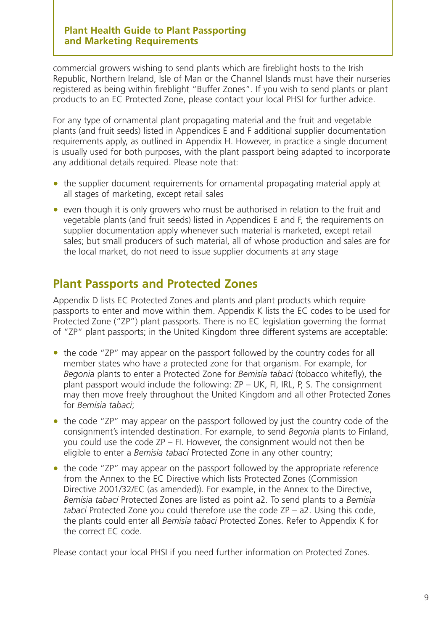commercial growers wishing to send plants which are fireblight hosts to the Irish Republic, Northern Ireland, Isle of Man or the Channel Islands must have their nurseries registered as being within fireblight "Buffer Zones". If you wish to send plants or plant products to an EC Protected Zone, please contact your local PHSI for further advice.

For any type of ornamental plant propagating material and the fruit and vegetable plants (and fruit seeds) listed in Appendices E and F additional supplier documentation requirements apply, as outlined in Appendix H. However, in practice a single document is usually used for both purposes, with the plant passport being adapted to incorporate any additional details required. Please note that:

- the supplier document requirements for ornamental propagating material apply at all stages of marketing, except retail sales
- even though it is only growers who must be authorised in relation to the fruit and vegetable plants (and fruit seeds) listed in Appendices E and F, the requirements on supplier documentation apply whenever such material is marketed, except retail sales; but small producers of such material, all of whose production and sales are for the local market, do not need to issue supplier documents at any stage

# **Plant Passports and Protected Zones**

Appendix D lists EC Protected Zones and plants and plant products which require passports to enter and move within them. Appendix K lists the EC codes to be used for Protected Zone ("ZP") plant passports. There is no EC legislation governing the format of "ZP" plant passports; in the United Kingdom three different systems are acceptable:

- the code "ZP" may appear on the passport followed by the country codes for all member states who have a protected zone for that organism. For example, for *Begonia* plants to enter a Protected Zone for *Bemisia tabaci* (tobacco whitefly), the plant passport would include the following: ZP – UK, FI, IRL, P, S. The consignment may then move freely throughout the United Kingdom and all other Protected Zones for *Bemisia tabaci*;
- the code "ZP" may appear on the passport followed by just the country code of the consignment's intended destination. For example, to send *Begonia* plants to Finland, you could use the code ZP – FI. However, the consignment would not then be eligible to enter a *Bemisia tabaci* Protected Zone in any other country;
- the code "ZP" may appear on the passport followed by the appropriate reference from the Annex to the EC Directive which lists Protected Zones (Commission Directive 2001/32/EC (as amended)). For example, in the Annex to the Directive, *Bemisia tabaci* Protected Zones are listed as point a2. To send plants to a *Bemisia tabaci* Protected Zone you could therefore use the code ZP – a2. Using this code, the plants could enter all *Bemisia tabaci* Protected Zones. Refer to Appendix K for the correct EC code.

Please contact your local PHSI if you need further information on Protected Zones.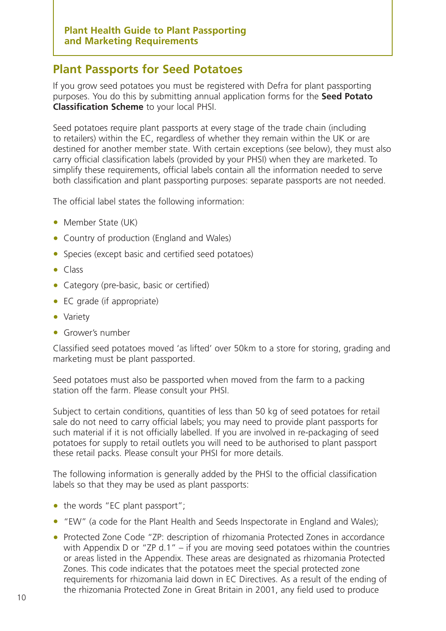# **Plant Passports for Seed Potatoes**

If you grow seed potatoes you must be registered with Defra for plant passporting purposes. You do this by submitting annual application forms for the **Seed Potato Classification Scheme** to your local PHSI.

Seed potatoes require plant passports at every stage of the trade chain (including to retailers) within the EC, regardless of whether they remain within the UK or are destined for another member state. With certain exceptions (see below), they must also carry official classification labels (provided by your PHSI) when they are marketed. To simplify these requirements, official labels contain all the information needed to serve both classification and plant passporting purposes: separate passports are not needed.

The official label states the following information:

- Member State (UK)
- Country of production (England and Wales)
- Species (except basic and certified seed potatoes)
- Class
- Category (pre-basic, basic or certified)
- EC grade (if appropriate)
- Variety
- Grower's number

Classified seed potatoes moved 'as lifted' over 50km to a store for storing, grading and marketing must be plant passported.

Seed potatoes must also be passported when moved from the farm to a packing station off the farm. Please consult your PHSI.

Subject to certain conditions, quantities of less than 50 kg of seed potatoes for retail sale do not need to carry official labels; you may need to provide plant passports for such material if it is not officially labelled. If you are involved in re-packaging of seed potatoes for supply to retail outlets you will need to be authorised to plant passport these retail packs. Please consult your PHSI for more details.

The following information is generally added by the PHSI to the official classification labels so that they may be used as plant passports:

- the words "EC plant passport";
- "EW" (a code for the Plant Health and Seeds Inspectorate in England and Wales);
- Protected Zone Code "ZP: description of rhizomania Protected Zones in accordance with Appendix D or "ZP d.1" – if you are moving seed potatoes within the countries or areas listed in the Appendix. These areas are designated as rhizomania Protected Zones. This code indicates that the potatoes meet the special protected zone requirements for rhizomania laid down in EC Directives. As a result of the ending of the rhizomania Protected Zone in Great Britain in 2001, any field used to produce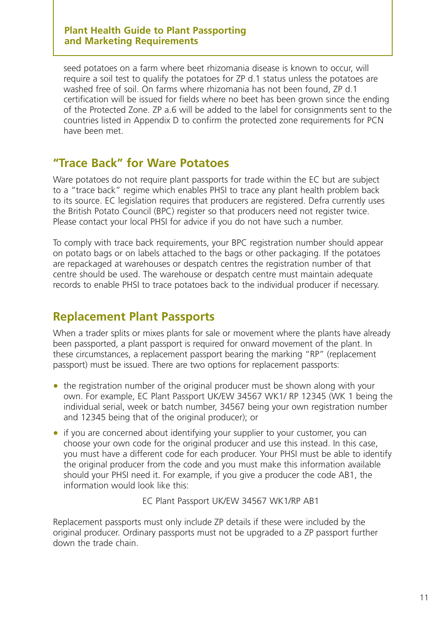seed potatoes on a farm where beet rhizomania disease is known to occur, will require a soil test to qualify the potatoes for ZP d.1 status unless the potatoes are washed free of soil. On farms where rhizomania has not been found, ZP d.1 certification will be issued for fields where no beet has been grown since the ending of the Protected Zone. ZP a.6 will be added to the label for consignments sent to the countries listed in Appendix D to confirm the protected zone requirements for PCN have been met.

# **"Trace Back" for Ware Potatoes**

Ware potatoes do not require plant passports for trade within the EC but are subject to a "trace back" regime which enables PHSI to trace any plant health problem back to its source. EC legislation requires that producers are registered. Defra currently uses the British Potato Council (BPC) register so that producers need not register twice. Please contact your local PHSI for advice if you do not have such a number.

To comply with trace back requirements, your BPC registration number should appear on potato bags or on labels attached to the bags or other packaging. If the potatoes are repackaged at warehouses or despatch centres the registration number of that centre should be used. The warehouse or despatch centre must maintain adequate records to enable PHSI to trace potatoes back to the individual producer if necessary.

# **Replacement Plant Passports**

When a trader splits or mixes plants for sale or movement where the plants have already been passported, a plant passport is required for onward movement of the plant. In these circumstances, a replacement passport bearing the marking "RP" (replacement passport) must be issued. There are two options for replacement passports:

- the registration number of the original producer must be shown along with your own. For example, EC Plant Passport UK/EW 34567 WK1/ RP 12345 (WK 1 being the individual serial, week or batch number, 34567 being your own registration number and 12345 being that of the original producer); or
- if you are concerned about identifying your supplier to your customer, you can choose your own code for the original producer and use this instead. In this case, you must have a different code for each producer. Your PHSI must be able to identify the original producer from the code and you must make this information available should your PHSI need it. For example, if you give a producer the code AB1, the information would look like this:

EC Plant Passport UK/EW 34567 WK1/RP AB1

Replacement passports must only include ZP details if these were included by the original producer. Ordinary passports must not be upgraded to a ZP passport further down the trade chain.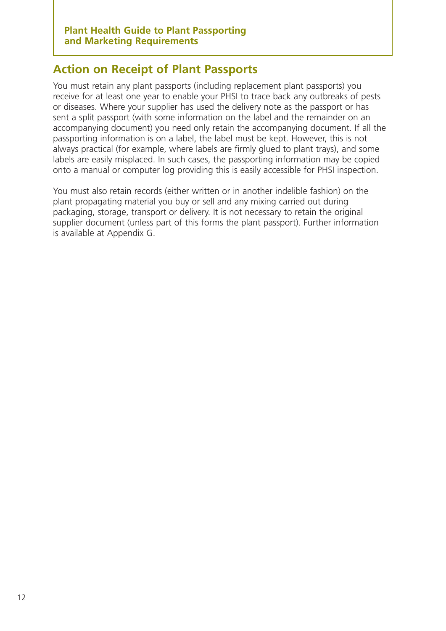# **Action on Receipt of Plant Passports**

You must retain any plant passports (including replacement plant passports) you receive for at least one year to enable your PHSI to trace back any outbreaks of pests or diseases. Where your supplier has used the delivery note as the passport or has sent a split passport (with some information on the label and the remainder on an accompanying document) you need only retain the accompanying document. If all the passporting information is on a label, the label must be kept. However, this is not always practical (for example, where labels are firmly glued to plant trays), and some labels are easily misplaced. In such cases, the passporting information may be copied onto a manual or computer log providing this is easily accessible for PHSI inspection.

You must also retain records (either written or in another indelible fashion) on the plant propagating material you buy or sell and any mixing carried out during packaging, storage, transport or delivery. It is not necessary to retain the original supplier document (unless part of this forms the plant passport). Further information is available at Appendix G.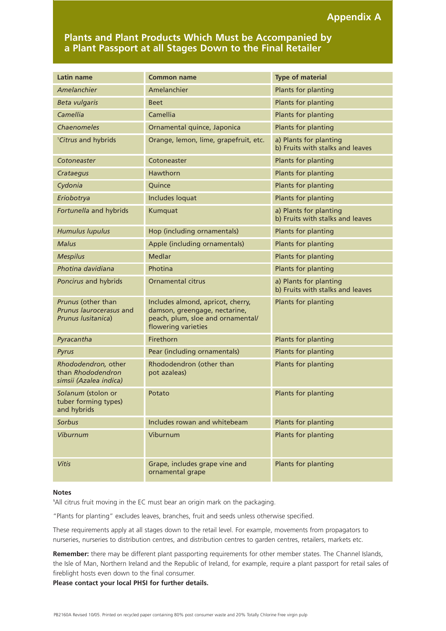# **Appendix A**

# **Plants and Plant Products Which Must be Accompanied by a Plant Passport at all Stages Down to the Final Retailer**

| <b>Latin name</b>                                                   | <b>Common name</b>                                                                                                             | <b>Type of material</b>                                    |
|---------------------------------------------------------------------|--------------------------------------------------------------------------------------------------------------------------------|------------------------------------------------------------|
| Amelanchier                                                         | Amelanchier                                                                                                                    | Plants for planting                                        |
| Beta vulgaris                                                       | <b>Beet</b>                                                                                                                    | Plants for planting                                        |
| Camellia                                                            | Camellia                                                                                                                       | Plants for planting                                        |
| Chaenomeles                                                         | Ornamental quince, Japonica                                                                                                    | Plants for planting                                        |
| <sup>1</sup> Citrus and hybrids                                     | Orange, lemon, lime, grapefruit, etc.                                                                                          | a) Plants for planting<br>b) Fruits with stalks and leaves |
| Cotoneaster                                                         | Cotoneaster                                                                                                                    | Plants for planting                                        |
| Crataegus                                                           | Hawthorn                                                                                                                       | Plants for planting                                        |
| Cydonia                                                             | Quince                                                                                                                         | Plants for planting                                        |
| Eriobotrya                                                          | Includes loquat                                                                                                                | Plants for planting                                        |
| Fortunella and hybrids                                              | Kumquat                                                                                                                        | a) Plants for planting<br>b) Fruits with stalks and leaves |
| <b>Humulus lupulus</b>                                              | Hop (including ornamentals)                                                                                                    | Plants for planting                                        |
| Malus                                                               | Apple (including ornamentals)                                                                                                  | Plants for planting                                        |
| <b>Mespilus</b>                                                     | <b>Medlar</b>                                                                                                                  | Plants for planting                                        |
| Photina davidiana                                                   | Photina                                                                                                                        | Plants for planting                                        |
| Poncirus and hybrids                                                | <b>Ornamental citrus</b>                                                                                                       | a) Plants for planting<br>b) Fruits with stalks and leaves |
| Prunus (other than<br>Prunus laurocerasus and<br>Prunus Iusitanica) | Includes almond, apricot, cherry,<br>damson, greengage, nectarine,<br>peach, plum, sloe and ornamental/<br>flowering varieties | Plants for planting                                        |
| Pyracantha                                                          | Firethorn                                                                                                                      | Plants for planting                                        |
| Pyrus                                                               | Pear (including ornamentals)                                                                                                   | Plants for planting                                        |
| Rhododendron, other<br>than Rhododendron<br>simsii (Azalea indica)  | Rhododendron (other than<br>pot azaleas)                                                                                       | Plants for planting                                        |
| Solanum (stolon or<br>tuber forming types)<br>and hybrids           | Potato                                                                                                                         | Plants for planting                                        |
| <b>Sorbus</b>                                                       | Includes rowan and whitebeam                                                                                                   | Plants for planting                                        |
| <b>Viburnum</b>                                                     | Viburnum                                                                                                                       | Plants for planting                                        |
| <b>Vitis</b>                                                        | Grape, includes grape vine and<br>ornamental grape                                                                             | Plants for planting                                        |

#### **Notes**

**1** All citrus fruit moving in the EC must bear an origin mark on the packaging.

"Plants for planting" excludes leaves, branches, fruit and seeds unless otherwise specified.

These requirements apply at all stages down to the retail level. For example, movements from propagators to nurseries, nurseries to distribution centres, and distribution centres to garden centres, retailers, markets etc.

**Remember:** there may be different plant passporting requirements for other member states. The Channel Islands, the Isle of Man, Northern Ireland and the Republic of Ireland, for example, require a plant passport for retail sales of fireblight hosts even down to the final consumer.

**Please contact your local PHSI for further details.**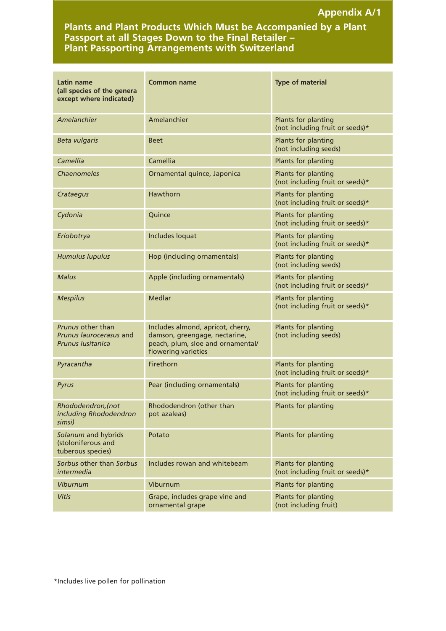#### **Passport at all Stages Down to the Final Retailer – we are set to really a stage of the stage of the stage of t Plants and Plant Products Which Must be Accompanied by a Plant Passport at all Stages Down to the Final Retailer – Plant Passporting Arrangements with Switzerland**

| Latin name<br>(all species of the genera<br>except where indicated)      | <b>Common name</b>                                                                                                             | <b>Type of material</b>                                |
|--------------------------------------------------------------------------|--------------------------------------------------------------------------------------------------------------------------------|--------------------------------------------------------|
| Amelanchier                                                              | Amelanchier                                                                                                                    | Plants for planting<br>(not including fruit or seeds)* |
| <b>Beta vulgaris</b>                                                     | <b>Beet</b>                                                                                                                    | Plants for planting<br>(not including seeds)           |
| Camellia                                                                 | Camellia                                                                                                                       | Plants for planting                                    |
| Chaenomeles                                                              | Ornamental quince, Japonica                                                                                                    | Plants for planting<br>(not including fruit or seeds)* |
| Crataegus                                                                | Hawthorn                                                                                                                       | Plants for planting<br>(not including fruit or seeds)* |
| Cydonia                                                                  | Quince                                                                                                                         | Plants for planting<br>(not including fruit or seeds)* |
| Eriobotrya                                                               | Includes loquat                                                                                                                | Plants for planting<br>(not including fruit or seeds)* |
| <b>Humulus lupulus</b>                                                   | Hop (including ornamentals)                                                                                                    | Plants for planting<br>(not including seeds)           |
| <b>Malus</b>                                                             | Apple (including ornamentals)                                                                                                  | Plants for planting<br>(not including fruit or seeds)* |
| <b>Mespilus</b>                                                          | <b>Medlar</b>                                                                                                                  | Plants for planting<br>(not including fruit or seeds)* |
| Prunus other than<br>Prunus laurocerasus and<br><b>Prunus Iusitanica</b> | Includes almond, apricot, cherry,<br>damson, greengage, nectarine,<br>peach, plum, sloe and ornamental/<br>flowering varieties | Plants for planting<br>(not including seeds)           |
| Pyracantha                                                               | Firethorn                                                                                                                      | Plants for planting<br>(not including fruit or seeds)* |
| Pyrus                                                                    | Pear (including ornamentals)                                                                                                   | Plants for planting<br>(not including fruit or seeds)* |
| Rhododendron, (not<br>including Rhododendron<br>simsi)                   | Rhododendron (other than<br>pot azaleas)                                                                                       | Plants for planting                                    |
| Solanum and hybrids<br>(stoloniferous and<br>tuberous species)           | Potato                                                                                                                         | Plants for planting                                    |
| Sorbus other than Sorbus<br>intermedia                                   | Includes rowan and whitebeam                                                                                                   | Plants for planting<br>(not including fruit or seeds)* |
| Viburnum                                                                 | Viburnum                                                                                                                       | Plants for planting                                    |
| <b>Vitis</b>                                                             | Grape, includes grape vine and<br>ornamental grape                                                                             | Plants for planting<br>(not including fruit)           |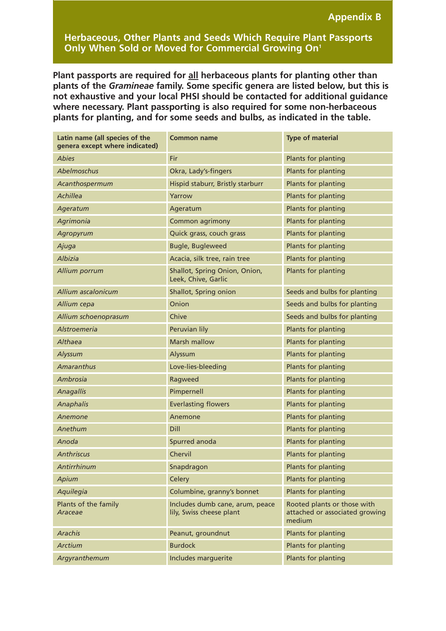# **Herbaceous, Other Plants and Seeds Which Require Plant Passports Only When Sold or Moved for Commercial Growing On1**

**Plant passports are required for all herbaceous plants for planting other than plants of the** *Gramineae* **family. Some specific genera are listed below, but this is not exhaustive and your local PHSI should be contacted for additional guidance where necessary. Plant passporting is also required for some non-herbaceous plants for planting, and for some seeds and bulbs, as indicated in the table.**

| Latin name (all species of the<br>genera except where indicated) | <b>Common name</b>                                          | <b>Type of material</b>                                                 |
|------------------------------------------------------------------|-------------------------------------------------------------|-------------------------------------------------------------------------|
| Abies                                                            | Fir                                                         | Plants for planting                                                     |
| Abelmoschus                                                      | Okra, Lady's-fingers                                        | Plants for planting                                                     |
| Acanthospermum                                                   | Hispid staburr, Bristly starburr                            | Plants for planting                                                     |
| Achillea                                                         | Yarrow                                                      | Plants for planting                                                     |
| Ageratum                                                         | Ageratum                                                    | Plants for planting                                                     |
| Agrimonia                                                        | Common agrimony                                             | Plants for planting                                                     |
| Agropyrum                                                        | Quick grass, couch grass                                    | Plants for planting                                                     |
| Ajuga                                                            | <b>Bugle, Bugleweed</b>                                     | Plants for planting                                                     |
| Albizia                                                          | Acacia, silk tree, rain tree                                | Plants for planting                                                     |
| Allium porrum                                                    | Shallot, Spring Onion, Onion,<br>Leek, Chive, Garlic        | Plants for planting                                                     |
| Allium ascalonicum                                               | Shallot, Spring onion                                       | Seeds and bulbs for planting                                            |
| Allium cepa                                                      | Onion                                                       | Seeds and bulbs for planting                                            |
| Allium schoenoprasum                                             | Chive                                                       | Seeds and bulbs for planting                                            |
| Alstroemeria                                                     | Peruvian lily                                               | Plants for planting                                                     |
| Althaea                                                          | Marsh mallow                                                | Plants for planting                                                     |
| Alyssum                                                          | Alyssum                                                     | Plants for planting                                                     |
| <b>Amaranthus</b>                                                | Love-lies-bleeding                                          | Plants for planting                                                     |
| Ambrosia                                                         | Ragweed                                                     | Plants for planting                                                     |
| <b>Anagallis</b>                                                 | Pimpernell                                                  | Plants for planting                                                     |
| Anaphalis                                                        | <b>Everlasting flowers</b>                                  | Plants for planting                                                     |
| Anemone                                                          | Anemone                                                     | Plants for planting                                                     |
| Anethum                                                          | <b>Dill</b>                                                 | Plants for planting                                                     |
| Anoda                                                            | Spurred anoda                                               | Plants for planting                                                     |
| <b>Anthriscus</b>                                                | Chervil                                                     | Plants for planting                                                     |
| Antirrhinum                                                      | Snapdragon                                                  | Plants for planting                                                     |
| Apium                                                            | Celery                                                      | Plants for planting                                                     |
| Aquilegia                                                        | Columbine, granny's bonnet                                  | Plants for planting                                                     |
| Plants of the family<br>Araceae                                  | Includes dumb cane, arum, peace<br>lily, Swiss cheese plant | Rooted plants or those with<br>attached or associated growing<br>medium |
| <b>Arachis</b>                                                   | Peanut, groundnut                                           | Plants for planting                                                     |
| <b>Arctium</b>                                                   | <b>Burdock</b>                                              | Plants for planting                                                     |
| Argyranthemum                                                    | Includes marguerite                                         | Plants for planting                                                     |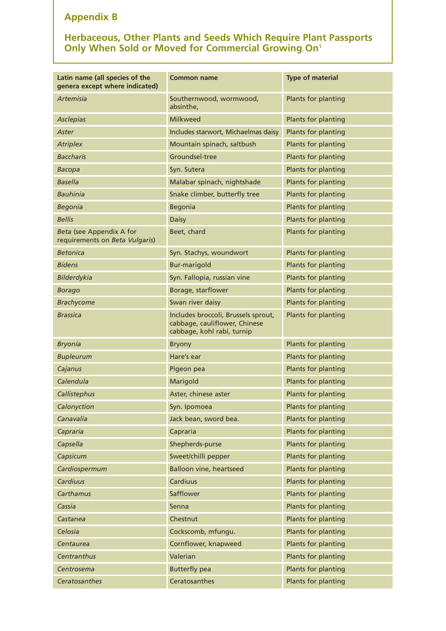| Latin name (all species of the<br>genera except where indicated) | <b>Common name</b>                                                                                 | <b>Type of material</b> |
|------------------------------------------------------------------|----------------------------------------------------------------------------------------------------|-------------------------|
| <b>Artemisia</b>                                                 | Southernwood, wormwood,<br>absinthe.                                                               | Plants for planting     |
| <b>Asclepias</b>                                                 | <b>Milkweed</b>                                                                                    | Plants for planting     |
| <b>Aster</b>                                                     | Includes starwort, Michaelmas daisy                                                                | Plants for planting     |
| <b>Atriplex</b>                                                  | Mountain spinach, saltbush                                                                         | Plants for planting     |
| <b>Baccharis</b>                                                 | Groundsel-tree                                                                                     | Plants for planting     |
| Bacopa                                                           | Syn. Sutera                                                                                        | Plants for planting     |
| <b>Basella</b>                                                   | Malabar spinach, nightshade                                                                        | Plants for planting     |
| <b>Bauhinia</b>                                                  | Snake climber, butterfly tree                                                                      | Plants for planting     |
| Begonia                                                          | Begonia                                                                                            | Plants for planting     |
| <b>Bellis</b>                                                    | <b>Daisy</b>                                                                                       | Plants for planting     |
| Beta (see Appendix A for<br>requirements on Beta Vulgaris)       | Beet, chard                                                                                        | Plants for planting     |
| <b>Betonica</b>                                                  | Syn. Stachys, woundwort                                                                            | Plants for planting     |
| <b>Bidens</b>                                                    | <b>Bur-marigold</b>                                                                                | Plants for planting     |
| <b>Bilderdykia</b>                                               | Syn. Fallopia, russian vine                                                                        | Plants for planting     |
| <b>Borago</b>                                                    | Borage, starflower                                                                                 | Plants for planting     |
| <b>Brachycome</b>                                                | Swan river daisy                                                                                   | Plants for planting     |
| Brassica                                                         | Includes broccoli, Brussels sprout,<br>cabbage, cauliflower, Chinese<br>cabbage, kohl rabi, turnip | Plants for planting     |
| <b>Bryonia</b>                                                   | <b>Bryony</b>                                                                                      | Plants for planting     |
| <b>Bupleurum</b>                                                 | Hare's ear                                                                                         | Plants for planting     |
| Cajanus                                                          | Pigeon pea                                                                                         | Plants for planting     |
| Calendula                                                        | Marigold                                                                                           | Plants for planting     |
| Callistephus                                                     | Aster, chinese aster                                                                               | Plants for planting     |
| Calonyction                                                      | Syn. Ipomoea                                                                                       | Plants for planting     |
| Canavalia                                                        | Jack bean, sword bea.                                                                              | Plants for planting     |
| Capraria                                                         | Capraria                                                                                           | Plants for planting     |
| Capsella                                                         | Shepherds-purse                                                                                    | Plants for planting     |
| Capsicum                                                         | Sweet/chilli pepper                                                                                | Plants for planting     |
| Cardiospermum                                                    | <b>Balloon vine, heartseed</b>                                                                     | Plants for planting     |
| <b>Cardiuus</b>                                                  | Cardiuus                                                                                           | Plants for planting     |
| Carthamus                                                        | Safflower                                                                                          | Plants for planting     |
| Cassia                                                           | Senna                                                                                              | Plants for planting     |
| Castanea                                                         | Chestnut                                                                                           | Plants for planting     |
| Celosia                                                          | Cockscomb, mfungu.                                                                                 | Plants for planting     |
| Centaurea                                                        | Cornflower, knapweed                                                                               | Plants for planting     |
| Centranthus                                                      | Valerian                                                                                           | Plants for planting     |
| Centrosema                                                       | <b>Butterfly pea</b>                                                                               | Plants for planting     |
| Ceratosanthes                                                    | Ceratosanthes                                                                                      | Plants for planting     |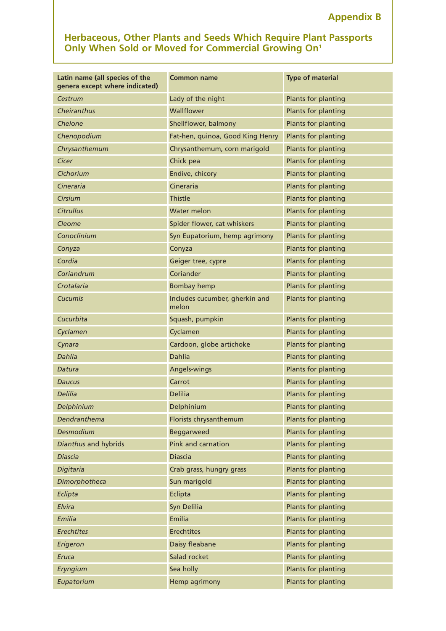| Latin name (all species of the<br>genera except where indicated) | <b>Common name</b>                      | <b>Type of material</b>    |
|------------------------------------------------------------------|-----------------------------------------|----------------------------|
| Cestrum                                                          | Lady of the night                       | Plants for planting        |
| Cheiranthus                                                      | Wallflower                              | Plants for planting        |
| Chelone                                                          | Shellflower, balmony                    | Plants for planting        |
| Chenopodium                                                      | Fat-hen, quinoa, Good King Henry        | Plants for planting        |
| Chrysanthemum                                                    | Chrysanthemum, corn marigold            | Plants for planting        |
| Cicer                                                            | Chick pea                               | Plants for planting        |
| Cichorium                                                        | Endive, chicory                         | Plants for planting        |
| Cineraria                                                        | Cineraria                               | Plants for planting        |
| Cirsium                                                          | <b>Thistle</b>                          | Plants for planting        |
| <b>Citrullus</b>                                                 | <b>Water melon</b>                      | Plants for planting        |
| Cleome                                                           | Spider flower, cat whiskers             | Plants for planting        |
| Conoclinium                                                      | Syn Eupatorium, hemp agrimony           | Plants for planting        |
| Conyza                                                           | Conyza                                  | Plants for planting        |
| Cordia                                                           | Geiger tree, cypre                      | Plants for planting        |
| Coriandrum                                                       | Coriander                               | Plants for planting        |
| Crotalaria                                                       | <b>Bombay hemp</b>                      | Plants for planting        |
| <b>Cucumis</b>                                                   | Includes cucumber, gherkin and<br>melon | Plants for planting        |
| Cucurbita                                                        | Squash, pumpkin                         | Plants for planting        |
| Cyclamen                                                         | Cyclamen                                | Plants for planting        |
| Cynara                                                           | Cardoon, globe artichoke                | Plants for planting        |
| Dahlia                                                           | <b>Dahlia</b>                           | Plants for planting        |
| Datura                                                           | Angels-wings                            | Plants for planting        |
| Daucus                                                           | Carrot                                  | Plants for planting        |
| <b>Delilia</b>                                                   | <b>Delilia</b>                          | Plants for planting        |
| Delphinium                                                       | Delphinium                              | Plants for planting        |
| Dendranthema                                                     | Florists chrysanthemum                  | Plants for planting        |
| Desmodium                                                        | <b>Beggarweed</b>                       | Plants for planting        |
| Dianthus and hybrids                                             | Pink and carnation                      | Plants for planting        |
| <b>Diascia</b>                                                   | <b>Diascia</b>                          | Plants for planting        |
| Digitaria                                                        | Crab grass, hungry grass                | Plants for planting        |
| Dimorphotheca                                                    | Sun marigold                            | <b>Plants for planting</b> |
| Eclipta                                                          | Eclipta                                 | Plants for planting        |
| Elvira                                                           | Syn Delilia                             | Plants for planting        |
| Emilia                                                           | Emilia                                  | Plants for planting        |
| <b>Erechtites</b>                                                | <b>Erechtites</b>                       | Plants for planting        |
| Erigeron                                                         | Daisy fleabane                          | Plants for planting        |
| <b>Eruca</b>                                                     | Salad rocket                            | Plants for planting        |
| Eryngium                                                         | Sea holly                               | Plants for planting        |
| Eupatorium                                                       | Hemp agrimony                           | Plants for planting        |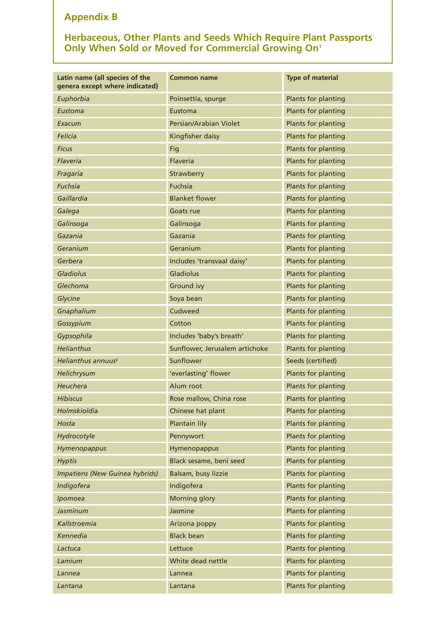| Latin name (all species of the<br>genera except where indicated) | <b>Common name</b>             | <b>Type of material</b> |
|------------------------------------------------------------------|--------------------------------|-------------------------|
| Euphorbia                                                        | Poinsettia, spurge             | Plants for planting     |
| Eustoma                                                          | Eustoma                        | Plants for planting     |
| Exacum                                                           | Persian/Arabian Violet         | Plants for planting     |
| Felicia                                                          | Kingfisher daisy               | Plants for planting     |
| <b>Ficus</b>                                                     | Fig                            | Plants for planting     |
| Flaveria                                                         | <b>Flaveria</b>                | Plants for planting     |
| Fragaria                                                         | Strawberry                     | Plants for planting     |
| Fuchsia                                                          | <b>Fuchsia</b>                 | Plants for planting     |
| Gaillardia                                                       | <b>Blanket flower</b>          | Plants for planting     |
| Galega                                                           | Goats rue                      | Plants for planting     |
| Galinsoga                                                        | Galinsoga                      | Plants for planting     |
| Gazania                                                          | Gazania                        | Plants for planting     |
| Geranium                                                         | Geranium                       | Plants for planting     |
| Gerbera                                                          | Includes 'transvaal daisy'     | Plants for planting     |
| Gladiolus                                                        | Gladiolus                      | Plants for planting     |
| Glechoma                                                         | Ground ivy                     | Plants for planting     |
| Glycine                                                          | Soya bean                      | Plants for planting     |
| Gnaphalium                                                       | Cudweed                        | Plants for planting     |
| Gossypium                                                        | Cotton                         | Plants for planting     |
| Gypsophila                                                       | Includes 'baby's breath'       | Plants for planting     |
| <b>Helianthus</b>                                                | Sunflower, Jerusalem artichoke | Plants for planting     |
| Helianthus annuus <sup>2</sup>                                   | Sunflower                      | Seeds (certified)       |
| Helichrysum                                                      | 'everlasting' flower           | Plants for planting     |
| Heuchera                                                         | Alum root                      | Plants for planting     |
| <b>Hibiscus</b>                                                  | Rose mallow, China rose        | Plants for planting     |
| Holmskioldia                                                     | Chinese hat plant              | Plants for planting     |
| Hosta                                                            | Plantain lily                  | Plants for planting     |
| Hydrocotyle                                                      | Pennywort                      | Plants for planting     |
| Hymenopappus                                                     | Hymenopappus                   | Plants for planting     |
| <b>Hyptis</b>                                                    | Black sesame, beni seed        | Plants for planting     |
| Impatiens (New Guinea hybrids)                                   | Balsam, busy lizzie            | Plants for planting     |
| Indigofera                                                       | Indigofera                     | Plants for planting     |
| Ipomoea                                                          | <b>Morning glory</b>           | Plants for planting     |
| Jasminum                                                         | Jasmine                        | Plants for planting     |
| Kallstroemia                                                     | Arizona poppy                  | Plants for planting     |
| Kennedia                                                         | <b>Black bean</b>              | Plants for planting     |
| Lactuca                                                          | Lettuce                        | Plants for planting     |
| Lamium                                                           | White dead nettle              | Plants for planting     |
| Lannea                                                           | Lannea                         | Plants for planting     |
| Lantana                                                          | Lantana                        | Plants for planting     |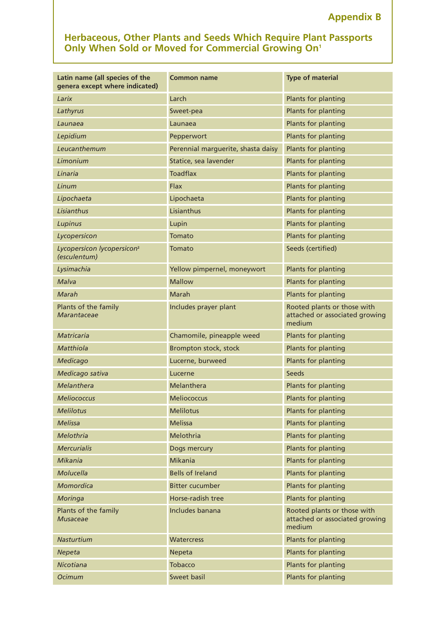| Latin name (all species of the<br>genera except where indicated) | <b>Common name</b>                 | <b>Type of material</b>                                                 |
|------------------------------------------------------------------|------------------------------------|-------------------------------------------------------------------------|
| Larix                                                            | Larch                              | Plants for planting                                                     |
| Lathyrus                                                         | Sweet-pea                          | Plants for planting                                                     |
| Launaea                                                          | Launaea                            | Plants for planting                                                     |
| Lepidium                                                         | Pepperwort                         | Plants for planting                                                     |
| Leucanthemum                                                     | Perennial marguerite, shasta daisy | Plants for planting                                                     |
| Limonium                                                         | Statice, sea lavender              | Plants for planting                                                     |
| Linaria                                                          | <b>Toadflax</b>                    | Plants for planting                                                     |
| Linum                                                            | Flax                               | Plants for planting                                                     |
| Lipochaeta                                                       | Lipochaeta                         | Plants for planting                                                     |
| Lisianthus                                                       | Lisianthus                         | Plants for planting                                                     |
| Lupinus                                                          | Lupin                              | Plants for planting                                                     |
| Lycopersicon                                                     | Tomato                             | Plants for planting                                                     |
| Lycopersicon lycopersicon <sup>2</sup><br>(esculentum)           | Tomato                             | Seeds (certified)                                                       |
| Lysimachia                                                       | Yellow pimpernel, moneywort        | Plants for planting                                                     |
| Malva                                                            | <b>Mallow</b>                      | Plants for planting                                                     |
| Marah                                                            | Marah                              | Plants for planting                                                     |
| Plants of the family<br>Marantaceae                              | Includes prayer plant              | Rooted plants or those with<br>attached or associated growing<br>medium |
| <b>Matricaria</b>                                                | Chamomile, pineapple weed          | Plants for planting                                                     |
| <b>Matthiola</b>                                                 | Brompton stock, stock              | Plants for planting                                                     |
| Medicago                                                         | Lucerne, burweed                   | Plants for planting                                                     |
| Medicago sativa                                                  | Lucerne                            | <b>Seeds</b>                                                            |
| Melanthera                                                       | Melanthera                         | Plants for planting                                                     |
| <i>Meliococcus</i>                                               | <b>Meliococcus</b>                 | Plants for planting                                                     |
| <b>Melilotus</b>                                                 | <b>Melilotus</b>                   | Plants for planting                                                     |
| <b>Melissa</b>                                                   | <b>Melissa</b>                     | Plants for planting                                                     |
| Melothria                                                        | Melothria                          | <b>Plants for planting</b>                                              |
| <b>Mercurialis</b>                                               | Dogs mercury                       | Plants for planting                                                     |
| Mikania                                                          | Mikania                            | Plants for planting                                                     |
| Molucella                                                        | <b>Bells of Ireland</b>            | Plants for planting                                                     |
| Momordica                                                        | <b>Bitter cucumber</b>             | Plants for planting                                                     |
| Moringa                                                          | Horse-radish tree                  | Plants for planting                                                     |
| Plants of the family<br>Musaceae                                 | Includes banana                    | Rooted plants or those with<br>attached or associated growing<br>medium |
| <b>Nasturtium</b>                                                | Watercress                         | Plants for planting                                                     |
| Nepeta                                                           | Nepeta                             | Plants for planting                                                     |
| Nicotiana                                                        | <b>Tobacco</b>                     | Plants for planting                                                     |
| <b>Ocimum</b>                                                    | Sweet basil                        | Plants for planting                                                     |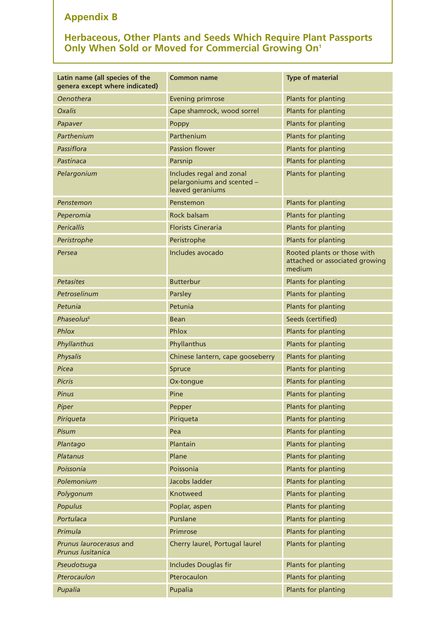| Latin name (all species of the<br>genera except where indicated) | <b>Common name</b>                                                         | <b>Type of material</b>                                                 |
|------------------------------------------------------------------|----------------------------------------------------------------------------|-------------------------------------------------------------------------|
| <b>Oenothera</b>                                                 | <b>Evening primrose</b>                                                    | Plants for planting                                                     |
| <b>Oxalis</b>                                                    | Cape shamrock, wood sorrel                                                 | Plants for planting                                                     |
| Papaver                                                          | Poppy                                                                      | Plants for planting                                                     |
| Parthenium                                                       | Parthenium                                                                 | Plants for planting                                                     |
| Passiflora                                                       | <b>Passion flower</b>                                                      | Plants for planting                                                     |
| Pastinaca                                                        | Parsnip                                                                    | Plants for planting                                                     |
| Pelargonium                                                      | Includes regal and zonal<br>pelargoniums and scented -<br>leaved geraniums | Plants for planting                                                     |
| Penstemon                                                        | Penstemon                                                                  | Plants for planting                                                     |
| Peperomia                                                        | Rock balsam                                                                | Plants for planting                                                     |
| <b>Pericallis</b>                                                | <b>Florists Cineraria</b>                                                  | Plants for planting                                                     |
| Peristrophe                                                      | Peristrophe                                                                | Plants for planting                                                     |
| Persea                                                           | Includes avocado                                                           | Rooted plants or those with<br>attached or associated growing<br>medium |
| <b>Petasites</b>                                                 | <b>Butterbur</b>                                                           | Plants for planting                                                     |
| Petroselinum                                                     | Parsley                                                                    | Plants for planting                                                     |
| Petunia                                                          | Petunia                                                                    | Plants for planting                                                     |
| Phaseolus <sup>2</sup>                                           | <b>Bean</b>                                                                | Seeds (certified)                                                       |
| Phlox                                                            | Phlox                                                                      | Plants for planting                                                     |
| Phyllanthus                                                      | Phyllanthus                                                                | Plants for planting                                                     |
| Physalis                                                         | Chinese lantern, cape gooseberry                                           | Plants for planting                                                     |
| Picea                                                            | Spruce                                                                     | Plants for planting                                                     |
| <b>Picris</b>                                                    | Ox-tongue                                                                  | Plants for planting                                                     |
| <b>Pinus</b>                                                     | Pine                                                                       | Plants for planting                                                     |
| Piper                                                            | Pepper                                                                     | <b>Plants for planting</b>                                              |
| Piriqueta                                                        | Piriqueta                                                                  | Plants for planting                                                     |
| Pisum                                                            | Pea                                                                        | Plants for planting                                                     |
| Plantago                                                         | Plantain                                                                   | Plants for planting                                                     |
| Platanus                                                         | Plane                                                                      | Plants for planting                                                     |
| Poissonia                                                        | Poissonia                                                                  | Plants for planting                                                     |
| Polemonium                                                       | Jacobs ladder                                                              | Plants for planting                                                     |
| Polygonum                                                        | Knotweed                                                                   | Plants for planting                                                     |
| Populus                                                          | Poplar, aspen                                                              | Plants for planting                                                     |
| Portulaca                                                        | Purslane                                                                   | Plants for planting                                                     |
| Primula                                                          | Primrose                                                                   | Plants for planting                                                     |
| Prunus laurocerasus and<br>Prunus Iusitanica                     | Cherry laurel, Portugal laurel                                             | Plants for planting                                                     |
| Pseudotsuga                                                      | Includes Douglas fir                                                       | Plants for planting                                                     |
| Pterocaulon                                                      | Pterocaulon                                                                | Plants for planting                                                     |
| Pupalia                                                          | Pupalia                                                                    | Plants for planting                                                     |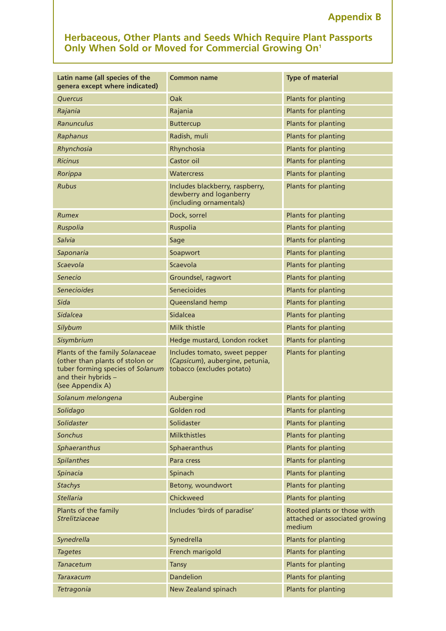| Latin name (all species of the<br>genera except where indicated)                                                                                  | <b>Common name</b>                                                                            | <b>Type of material</b>                                                 |
|---------------------------------------------------------------------------------------------------------------------------------------------------|-----------------------------------------------------------------------------------------------|-------------------------------------------------------------------------|
| Quercus                                                                                                                                           | Oak                                                                                           | Plants for planting                                                     |
| Rajania                                                                                                                                           | Rajania                                                                                       | Plants for planting                                                     |
| Ranunculus                                                                                                                                        | <b>Buttercup</b>                                                                              | Plants for planting                                                     |
| Raphanus                                                                                                                                          | Radish, muli                                                                                  | Plants for planting                                                     |
| Rhynchosia                                                                                                                                        | Rhynchosia                                                                                    | Plants for planting                                                     |
| <b>Ricinus</b>                                                                                                                                    | Castor oil                                                                                    | Plants for planting                                                     |
| Rorippa                                                                                                                                           | <b>Watercress</b>                                                                             | Plants for planting                                                     |
| <b>Rubus</b>                                                                                                                                      | Includes blackberry, raspberry,<br>dewberry and loganberry<br>(including ornamentals)         | Plants for planting                                                     |
| <b>Rumex</b>                                                                                                                                      | Dock, sorrel                                                                                  | Plants for planting                                                     |
| Ruspolia                                                                                                                                          | Ruspolia                                                                                      | Plants for planting                                                     |
| Salvia                                                                                                                                            | Sage                                                                                          | Plants for planting                                                     |
| Saponaria                                                                                                                                         | Soapwort                                                                                      | Plants for planting                                                     |
| Scaevola                                                                                                                                          | Scaevola                                                                                      | Plants for planting                                                     |
| Senecio                                                                                                                                           | Groundsel, ragwort                                                                            | Plants for planting                                                     |
| <b>Senecioides</b>                                                                                                                                | <b>Senecioides</b>                                                                            | Plants for planting                                                     |
| Sida                                                                                                                                              | Queensland hemp                                                                               | Plants for planting                                                     |
| Sidalcea                                                                                                                                          | Sidalcea                                                                                      | Plants for planting                                                     |
| Silybum                                                                                                                                           | Milk thistle                                                                                  | Plants for planting                                                     |
| Sisymbrium                                                                                                                                        | Hedge mustard, London rocket                                                                  | Plants for planting                                                     |
| Plants of the family Solanaceae<br>(other than plants of stolon or<br>tuber forming species of Solanum<br>and their hybrids -<br>(see Appendix A) | Includes tomato, sweet pepper<br>(Capsicum), aubergine, petunia,<br>tobacco (excludes potato) | Plants for planting                                                     |
| Solanum melongena                                                                                                                                 | Aubergine                                                                                     | Plants for planting                                                     |
| Solidago                                                                                                                                          | Golden rod                                                                                    | Plants for planting                                                     |
| Solidaster                                                                                                                                        | Solidaster                                                                                    | Plants for planting                                                     |
| <b>Sonchus</b>                                                                                                                                    | <b>Milkthistles</b>                                                                           | Plants for planting                                                     |
| Sphaeranthus                                                                                                                                      | Sphaeranthus                                                                                  | Plants for planting                                                     |
| Spilanthes                                                                                                                                        | Para cress                                                                                    | Plants for planting                                                     |
| Spinacia                                                                                                                                          | Spinach                                                                                       | Plants for planting                                                     |
| <b>Stachys</b>                                                                                                                                    | Betony, woundwort                                                                             | Plants for planting                                                     |
| <b>Stellaria</b>                                                                                                                                  | Chickweed                                                                                     | Plants for planting                                                     |
| Plants of the family<br>Strelitziaceae                                                                                                            | Includes 'birds of paradise'                                                                  | Rooted plants or those with<br>attached or associated growing<br>medium |
| Synedrella                                                                                                                                        | Synedrella                                                                                    | Plants for planting                                                     |
| <b>Tagetes</b>                                                                                                                                    | French marigold                                                                               | Plants for planting                                                     |
| <b>Tanacetum</b>                                                                                                                                  | <b>Tansy</b>                                                                                  | Plants for planting                                                     |
| <b>Taraxacum</b>                                                                                                                                  | <b>Dandelion</b>                                                                              | Plants for planting                                                     |
| Tetragonia                                                                                                                                        | New Zealand spinach                                                                           | Plants for planting                                                     |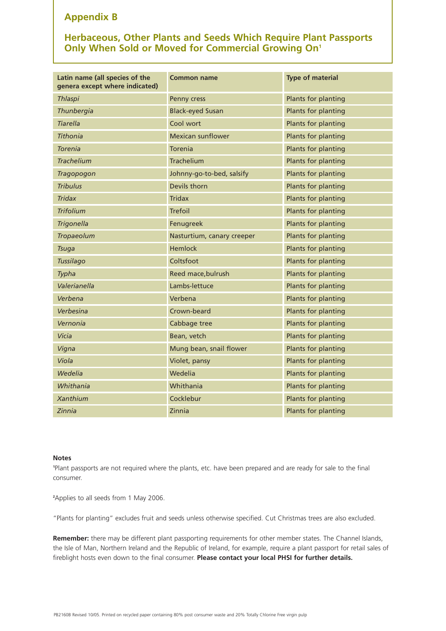# **Herbaceous, Other Plants and Seeds Which Require Plant Passports Only When Sold or Moved for Commercial Growing On<sup>1</sup>**

| Latin name (all species of the<br>genera except where indicated) | <b>Common name</b>         | <b>Type of material</b>    |
|------------------------------------------------------------------|----------------------------|----------------------------|
| <b>Thlaspi</b>                                                   | Penny cress                | Plants for planting        |
| Thunbergia                                                       | <b>Black-eyed Susan</b>    | Plants for planting        |
| <b>Tiarella</b>                                                  | Cool wort                  | Plants for planting        |
| <b>Tithonia</b>                                                  | <b>Mexican sunflower</b>   | Plants for planting        |
| <b>Torenia</b>                                                   | <b>Torenia</b>             | Plants for planting        |
| <b>Trachelium</b>                                                | <b>Trachelium</b>          | Plants for planting        |
| Tragopogon                                                       | Johnny-go-to-bed, salsify  | <b>Plants for planting</b> |
| <b>Tribulus</b>                                                  | Devils thorn               | Plants for planting        |
| <b>Tridax</b>                                                    | <b>Tridax</b>              | Plants for planting        |
| <b>Trifolium</b>                                                 | <b>Trefoil</b>             | Plants for planting        |
| Trigonella                                                       | Fenugreek                  | Plants for planting        |
| Tropaeolum                                                       | Nasturtium, canary creeper | Plants for planting        |
| <b>Tsuga</b>                                                     | <b>Hemlock</b>             | Plants for planting        |
| Tussilago                                                        | Coltsfoot                  | Plants for planting        |
| Typha                                                            | Reed mace, bulrush         | Plants for planting        |
| Valerianella                                                     | Lambs-lettuce              | Plants for planting        |
| Verbena                                                          | Verbena                    | Plants for planting        |
| Verbesina                                                        | Crown-beard                | Plants for planting        |
| Vernonia                                                         | Cabbage tree               | Plants for planting        |
| Vicia                                                            | Bean, vetch                | Plants for planting        |
| Vigna                                                            | Mung bean, snail flower    | Plants for planting        |
| Viola                                                            | Violet, pansy              | Plants for planting        |
| Wedelia                                                          | Wedelia                    | Plants for planting        |
| Whithania                                                        | Whithania                  | Plants for planting        |
| <b>Xanthium</b>                                                  | Cocklebur                  | Plants for planting        |
| Zinnia                                                           | Zinnia                     | Plants for planting        |

#### **Notes**

**1** Plant passports are not required where the plants, etc. have been prepared and are ready for sale to the final consumer.

**2** Applies to all seeds from 1 May 2006.

"Plants for planting" excludes fruit and seeds unless otherwise specified. Cut Christmas trees are also excluded.

**Remember:** there may be different plant passporting requirements for other member states. The Channel Islands, the Isle of Man, Northern Ireland and the Republic of Ireland, for example, require a plant passport for retail sales of fireblight hosts even down to the final consumer. **Please contact your local PHSI for further details.**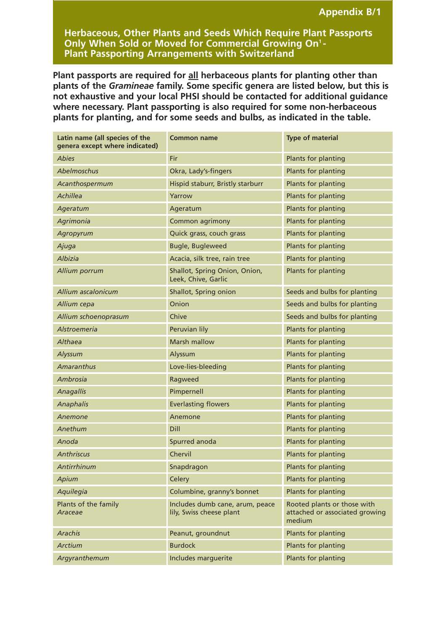**Herbaceous, Other Plants and Seeds Which Require Plant Passports Only When Sold or Moved for Commercial Growing On1 - Plant Passporting Arrangements with Switzerland**

**Plant passports are required for all herbaceous plants for planting other than plants of the** *Gramineae* **family. Some specific genera are listed below, but this is not exhaustive and your local PHSI should be contacted for additional guidance where necessary. Plant passporting is also required for some non-herbaceous plants for planting, and for some seeds and bulbs, as indicated in the table.**

| Latin name (all species of the<br>genera except where indicated) | <b>Common name</b>                                          | <b>Type of material</b>                                                 |
|------------------------------------------------------------------|-------------------------------------------------------------|-------------------------------------------------------------------------|
| Abies                                                            | Fir                                                         | Plants for planting                                                     |
| Abelmoschus                                                      | Okra, Lady's-fingers                                        | Plants for planting                                                     |
| Acanthospermum                                                   | Hispid staburr, Bristly starburr                            | Plants for planting                                                     |
| <b>Achillea</b>                                                  | Yarrow                                                      | Plants for planting                                                     |
| Ageratum                                                         | Ageratum                                                    | Plants for planting                                                     |
| Agrimonia                                                        | Common agrimony                                             | Plants for planting                                                     |
| Agropyrum                                                        | Quick grass, couch grass                                    | Plants for planting                                                     |
| Ajuga                                                            | <b>Bugle, Bugleweed</b>                                     | Plants for planting                                                     |
| Albizia                                                          | Acacia, silk tree, rain tree                                | Plants for planting                                                     |
| Allium porrum                                                    | Shallot, Spring Onion, Onion,<br>Leek, Chive, Garlic        | Plants for planting                                                     |
| Allium ascalonicum                                               | Shallot, Spring onion                                       | Seeds and bulbs for planting                                            |
| Allium cepa                                                      | Onion                                                       | Seeds and bulbs for planting                                            |
| Allium schoenoprasum                                             | Chive                                                       | Seeds and bulbs for planting                                            |
| Alstroemeria                                                     | Peruvian lily                                               | Plants for planting                                                     |
| <b>Althaea</b>                                                   | <b>Marsh mallow</b>                                         | Plants for planting                                                     |
| Alyssum                                                          | Alyssum                                                     | Plants for planting                                                     |
| <b>Amaranthus</b>                                                | Love-lies-bleeding                                          | Plants for planting                                                     |
| Ambrosia                                                         | Ragweed                                                     | Plants for planting                                                     |
| <b>Anagallis</b>                                                 | Pimpernell                                                  | Plants for planting                                                     |
| Anaphalis                                                        | <b>Everlasting flowers</b>                                  | Plants for planting                                                     |
| Anemone                                                          | Anemone                                                     | Plants for planting                                                     |
| Anethum                                                          | <b>Dill</b>                                                 | Plants for planting                                                     |
| Anoda                                                            | Spurred anoda                                               | Plants for planting                                                     |
| Anthriscus                                                       | Chervil                                                     | Plants for planting                                                     |
| Antirrhinum                                                      | Snapdragon                                                  | Plants for planting                                                     |
| Apium                                                            | Celery                                                      | Plants for planting                                                     |
| Aquilegia                                                        | Columbine, granny's bonnet                                  | Plants for planting                                                     |
| Plants of the family<br>Araceae                                  | Includes dumb cane, arum, peace<br>lily, Swiss cheese plant | Rooted plants or those with<br>attached or associated growing<br>medium |
| <b>Arachis</b>                                                   | Peanut, groundnut                                           | Plants for planting                                                     |
| <b>Arctium</b>                                                   | <b>Burdock</b>                                              | Plants for planting                                                     |
| Argyranthemum                                                    | Includes marguerite                                         | Plants for planting                                                     |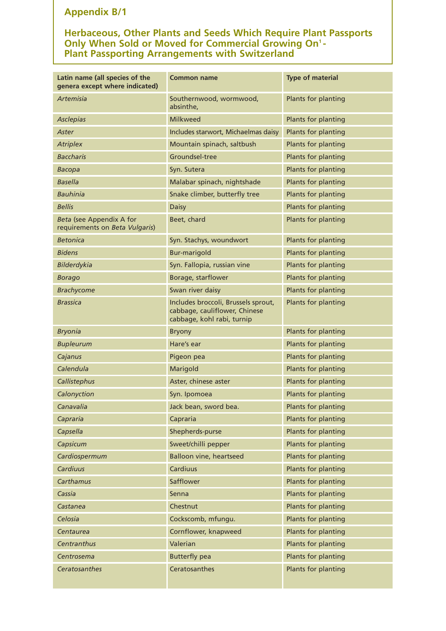| Latin name (all species of the<br>genera except where indicated) | <b>Common name</b>                                                                                 | <b>Type of material</b> |
|------------------------------------------------------------------|----------------------------------------------------------------------------------------------------|-------------------------|
| <b>Artemisia</b>                                                 | Southernwood, wormwood,<br>absinthe,                                                               | Plants for planting     |
| <b>Asclepias</b>                                                 | <b>Milkweed</b>                                                                                    | Plants for planting     |
| Aster                                                            | Includes starwort, Michaelmas daisy                                                                | Plants for planting     |
| <b>Atriplex</b>                                                  | Mountain spinach, saltbush                                                                         | Plants for planting     |
| Baccharis                                                        | Groundsel-tree                                                                                     | Plants for planting     |
| Bacopa                                                           | Syn. Sutera                                                                                        | Plants for planting     |
| <b>Basella</b>                                                   | Malabar spinach, nightshade                                                                        | Plants for planting     |
| <b>Bauhinia</b>                                                  | Snake climber, butterfly tree                                                                      | Plants for planting     |
| <b>Bellis</b>                                                    | <b>Daisy</b>                                                                                       | Plants for planting     |
| Beta (see Appendix A for<br>requirements on Beta Vulgaris)       | Beet, chard                                                                                        | Plants for planting     |
| Betonica                                                         | Syn. Stachys, woundwort                                                                            | Plants for planting     |
| <b>Bidens</b>                                                    | <b>Bur-marigold</b>                                                                                | Plants for planting     |
| Bilderdykia                                                      | Syn. Fallopia, russian vine                                                                        | Plants for planting     |
| <b>Borago</b>                                                    | Borage, starflower                                                                                 | Plants for planting     |
| <b>Brachycome</b>                                                | Swan river daisy                                                                                   | Plants for planting     |
| <b>Brassica</b>                                                  | Includes broccoli, Brussels sprout,<br>cabbage, cauliflower, Chinese<br>cabbage, kohl rabi, turnip | Plants for planting     |
| <b>Bryonia</b>                                                   | <b>Bryony</b>                                                                                      | Plants for planting     |
| <b>Bupleurum</b>                                                 | Hare's ear                                                                                         | Plants for planting     |
| Cajanus                                                          | Pigeon pea                                                                                         | Plants for planting     |
| Calendula                                                        | Marigold                                                                                           | Plants for planting     |
| Callistephus                                                     | Aster, chinese aster                                                                               | Plants for planting     |
| Calonyction                                                      | Syn. Ipomoea                                                                                       | Plants for planting     |
| Canavalia                                                        | Jack bean, sword bea.                                                                              | Plants for planting     |
| Capraria                                                         | Capraria                                                                                           | Plants for planting     |
| Capsella                                                         | Shepherds-purse                                                                                    | Plants for planting     |
| Capsicum                                                         | Sweet/chilli pepper                                                                                | Plants for planting     |
| Cardiospermum                                                    | <b>Balloon vine, heartseed</b>                                                                     | Plants for planting     |
| <b>Cardiuus</b>                                                  | <b>Cardiuus</b>                                                                                    | Plants for planting     |
| Carthamus                                                        | Safflower                                                                                          | Plants for planting     |
| Cassia                                                           | Senna                                                                                              | Plants for planting     |
| Castanea                                                         | Chestnut                                                                                           | Plants for planting     |
| Celosia                                                          | Cockscomb, mfungu.                                                                                 | Plants for planting     |
| Centaurea                                                        | Cornflower, knapweed                                                                               | Plants for planting     |
| Centranthus                                                      | Valerian                                                                                           | Plants for planting     |
| Centrosema                                                       | <b>Butterfly pea</b>                                                                               | Plants for planting     |
| Ceratosanthes                                                    | Ceratosanthes                                                                                      | Plants for planting     |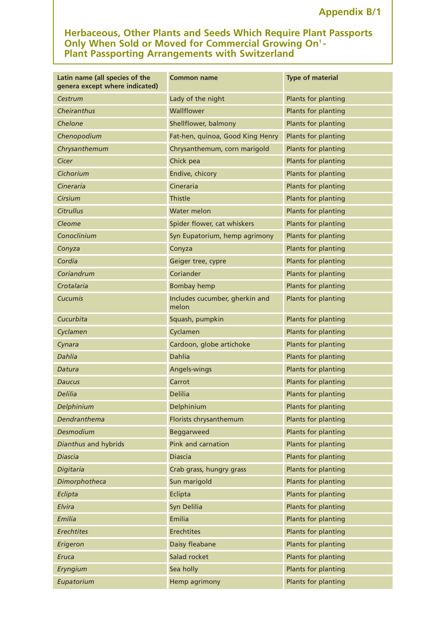| Latin name (all species of the<br>genera except where indicated) | <b>Common name</b>                      | <b>Type of material</b>    |
|------------------------------------------------------------------|-----------------------------------------|----------------------------|
| Cestrum                                                          | Lady of the night                       | Plants for planting        |
| Cheiranthus                                                      | Wallflower                              | Plants for planting        |
| Chelone                                                          | Shellflower, balmony                    | Plants for planting        |
| Chenopodium                                                      | Fat-hen, quinoa, Good King Henry        | Plants for planting        |
| Chrysanthemum                                                    | Chrysanthemum, corn marigold            | Plants for planting        |
| Cicer                                                            | Chick pea                               | Plants for planting        |
| Cichorium                                                        | Endive, chicory                         | Plants for planting        |
| Cineraria                                                        | Cineraria                               | Plants for planting        |
| Cirsium                                                          | <b>Thistle</b>                          | Plants for planting        |
| <b>Citrullus</b>                                                 | <b>Water melon</b>                      | Plants for planting        |
| Cleome                                                           | Spider flower, cat whiskers             | Plants for planting        |
| Conoclinium                                                      | Syn Eupatorium, hemp agrimony           | Plants for planting        |
| Conyza                                                           | Conyza                                  | Plants for planting        |
| Cordia                                                           | Geiger tree, cypre                      | Plants for planting        |
| Coriandrum                                                       | Coriander                               | Plants for planting        |
| Crotalaria                                                       | <b>Bombay hemp</b>                      | Plants for planting        |
| <b>Cucumis</b>                                                   | Includes cucumber, gherkin and<br>melon | Plants for planting        |
| Cucurbita                                                        | Squash, pumpkin                         | Plants for planting        |
| Cyclamen                                                         | Cyclamen                                | Plants for planting        |
| Cynara                                                           | Cardoon, globe artichoke                | Plants for planting        |
| Dahlia                                                           | <b>Dahlia</b>                           | Plants for planting        |
| Datura                                                           | Angels-wings                            | Plants for planting        |
| Daucus                                                           | Carrot                                  | Plants for planting        |
| <b>Delilia</b>                                                   | <b>Delilia</b>                          | Plants for planting        |
| Delphinium                                                       | Delphinium                              | Plants for planting        |
| Dendranthema                                                     | Florists chrysanthemum                  | Plants for planting        |
| Desmodium                                                        | <b>Beggarweed</b>                       | Plants for planting        |
| Dianthus and hybrids                                             | Pink and carnation                      | Plants for planting        |
| <b>Diascia</b>                                                   | <b>Diascia</b>                          | Plants for planting        |
| Digitaria                                                        | Crab grass, hungry grass                | Plants for planting        |
| Dimorphotheca                                                    | Sun marigold                            | <b>Plants for planting</b> |
| Eclipta                                                          | Eclipta                                 | Plants for planting        |
| Elvira                                                           | Syn Delilia                             | Plants for planting        |
| Emilia                                                           | Emilia                                  | Plants for planting        |
| <b>Erechtites</b>                                                | <b>Erechtites</b>                       | Plants for planting        |
| Erigeron                                                         | Daisy fleabane                          | Plants for planting        |
| <b>Eruca</b>                                                     | Salad rocket                            | Plants for planting        |
| Eryngium                                                         | Sea holly                               | Plants for planting        |
| Eupatorium                                                       | Hemp agrimony                           | Plants for planting        |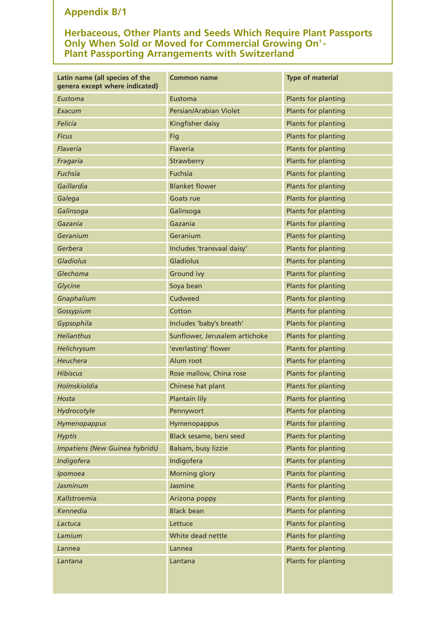| Latin name (all species of the<br>genera except where indicated) | <b>Common name</b>             | <b>Type of material</b> |
|------------------------------------------------------------------|--------------------------------|-------------------------|
| Eustoma                                                          | Eustoma                        | Plants for planting     |
| Exacum                                                           | Persian/Arabian Violet         | Plants for planting     |
| <b>Felicia</b>                                                   | Kingfisher daisy               | Plants for planting     |
| <b>Ficus</b>                                                     | Fig                            | Plants for planting     |
| Flaveria                                                         | Flaveria                       | Plants for planting     |
| Fragaria                                                         | Strawberry                     | Plants for planting     |
| <b>Fuchsia</b>                                                   | <b>Fuchsia</b>                 | Plants for planting     |
| Gaillardia                                                       | <b>Blanket flower</b>          | Plants for planting     |
| Galega                                                           | Goats rue                      | Plants for planting     |
| Galinsoga                                                        | Galinsoga                      | Plants for planting     |
| Gazania                                                          | Gazania                        | Plants for planting     |
| Geranium                                                         | Geranium                       | Plants for planting     |
| Gerbera                                                          | Includes 'transvaal daisy'     | Plants for planting     |
| Gladiolus                                                        | Gladiolus                      | Plants for planting     |
| Glechoma                                                         | <b>Ground ivy</b>              | Plants for planting     |
| Glycine                                                          | Soya bean                      | Plants for planting     |
| Gnaphalium                                                       | Cudweed                        | Plants for planting     |
| Gossypium                                                        | Cotton                         | Plants for planting     |
| Gypsophila                                                       | Includes 'baby's breath'       | Plants for planting     |
| <b>Helianthus</b>                                                | Sunflower, Jerusalem artichoke | Plants for planting     |
| Helichrysum                                                      | 'everlasting' flower           | Plants for planting     |
| Heuchera                                                         | Alum root                      | Plants for planting     |
| <b>Hibiscus</b>                                                  | Rose mallow, China rose        | Plants for planting     |
| Holmskioldia                                                     | Chinese hat plant              | Plants for planting     |
| Hosta                                                            | <b>Plantain lily</b>           | Plants for planting     |
| Hydrocotyle                                                      | Pennywort                      | Plants for planting     |
| Hymenopappus                                                     | Hymenopappus                   | Plants for planting     |
| <b>Hyptis</b>                                                    | Black sesame, beni seed        | Plants for planting     |
| Impatiens (New Guinea hybrids)                                   | Balsam, busy lizzie            | Plants for planting     |
| Indigofera                                                       | Indigofera                     | Plants for planting     |
| Ipomoea                                                          | <b>Morning glory</b>           | Plants for planting     |
| Jasminum                                                         | Jasmine                        | Plants for planting     |
| Kallstroemia                                                     | Arizona poppy                  | Plants for planting     |
| Kennedia                                                         | <b>Black bean</b>              | Plants for planting     |
| Lactuca                                                          | Lettuce                        | Plants for planting     |
| Lamium                                                           | White dead nettle              | Plants for planting     |
| Lannea                                                           | Lannea                         | Plants for planting     |
| Lantana                                                          | Lantana                        | Plants for planting     |
|                                                                  |                                |                         |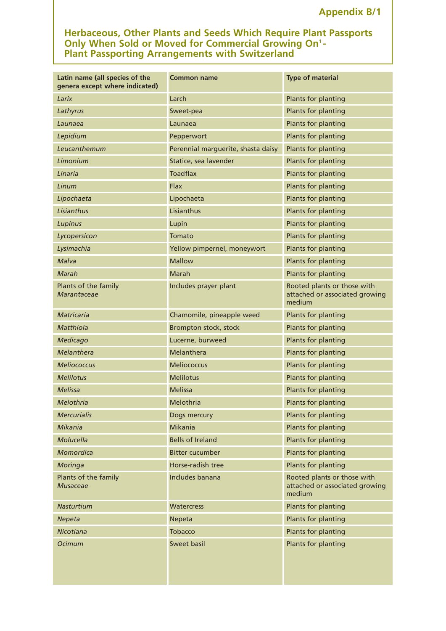| Latin name (all species of the<br>genera except where indicated) | <b>Common name</b>                 | <b>Type of material</b>                                                 |
|------------------------------------------------------------------|------------------------------------|-------------------------------------------------------------------------|
| Larix                                                            | Larch                              | Plants for planting                                                     |
| Lathyrus                                                         | Sweet-pea                          | Plants for planting                                                     |
| Launaea                                                          | Launaea                            | Plants for planting                                                     |
| Lepidium                                                         | Pepperwort                         | Plants for planting                                                     |
| Leucanthemum                                                     | Perennial marguerite, shasta daisy | Plants for planting                                                     |
| Limonium                                                         | Statice, sea lavender              | Plants for planting                                                     |
| Linaria                                                          | <b>Toadflax</b>                    | Plants for planting                                                     |
| Linum                                                            | <b>Flax</b>                        | Plants for planting                                                     |
| Lipochaeta                                                       | Lipochaeta                         | Plants for planting                                                     |
| Lisianthus                                                       | Lisianthus                         | Plants for planting                                                     |
| Lupinus                                                          | Lupin                              | Plants for planting                                                     |
| Lycopersicon                                                     | Tomato                             | Plants for planting                                                     |
| Lysimachia                                                       | Yellow pimpernel, moneywort        | Plants for planting                                                     |
| Malva                                                            | <b>Mallow</b>                      | Plants for planting                                                     |
| Marah                                                            | Marah                              | Plants for planting                                                     |
| Plants of the family<br>Marantaceae                              | Includes prayer plant              | Rooted plants or those with<br>attached or associated growing<br>medium |
| <b>Matricaria</b>                                                | Chamomile, pineapple weed          | Plants for planting                                                     |
| Matthiola                                                        | Brompton stock, stock              | Plants for planting                                                     |
| Medicago                                                         | Lucerne, burweed                   | Plants for planting                                                     |
| Melanthera                                                       | Melanthera                         | Plants for planting                                                     |
| <b>Meliococcus</b>                                               | <b>Meliococcus</b>                 | Plants for planting                                                     |
| <b>Melilotus</b>                                                 | <b>Melilotus</b>                   | Plants for planting                                                     |
| Melissa                                                          | <b>Melissa</b>                     | Plants for planting                                                     |
| Melothria                                                        | Melothria                          | Plants for planting                                                     |
| <b>Mercurialis</b>                                               | Dogs mercury                       | Plants for planting                                                     |
| Mikania                                                          | <b>Mikania</b>                     | Plants for planting                                                     |
| Molucella                                                        | <b>Bells of Ireland</b>            | Plants for planting                                                     |
| Momordica                                                        | <b>Bitter cucumber</b>             | Plants for planting                                                     |
| Moringa                                                          | Horse-radish tree                  | <b>Plants for planting</b>                                              |
| Plants of the family<br>Musaceae                                 | Includes banana                    | Rooted plants or those with<br>attached or associated growing<br>medium |
| <b>Nasturtium</b>                                                | <b>Watercress</b>                  | Plants for planting                                                     |
| Nepeta                                                           | Nepeta                             | Plants for planting                                                     |
| Nicotiana                                                        | <b>Tobacco</b>                     | Plants for planting                                                     |
| <b>Ocimum</b>                                                    | Sweet basil                        | Plants for planting                                                     |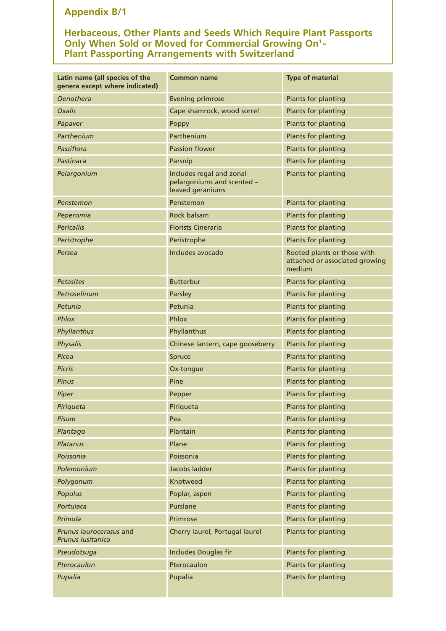| Latin name (all species of the<br>genera except where indicated) | <b>Common name</b>                                                         | <b>Type of material</b>                                                 |
|------------------------------------------------------------------|----------------------------------------------------------------------------|-------------------------------------------------------------------------|
| <b>Oenothera</b>                                                 | <b>Evening primrose</b>                                                    | Plants for planting                                                     |
| <b>Oxalis</b>                                                    | Cape shamrock, wood sorrel                                                 | Plants for planting                                                     |
| Papaver                                                          | Poppy                                                                      | Plants for planting                                                     |
| Parthenium                                                       | Parthenium                                                                 | Plants for planting                                                     |
| Passiflora                                                       | <b>Passion flower</b>                                                      | Plants for planting                                                     |
| Pastinaca                                                        | Parsnip                                                                    | Plants for planting                                                     |
| Pelargonium                                                      | Includes regal and zonal<br>pelargoniums and scented -<br>leaved geraniums | Plants for planting                                                     |
| Penstemon                                                        | Penstemon                                                                  | Plants for planting                                                     |
| Peperomia                                                        | Rock balsam                                                                | Plants for planting                                                     |
| <b>Pericallis</b>                                                | <b>Florists Cineraria</b>                                                  | Plants for planting                                                     |
| Peristrophe                                                      | Peristrophe                                                                | Plants for planting                                                     |
| Persea                                                           | Includes avocado                                                           | Rooted plants or those with<br>attached or associated growing<br>medium |
| <b>Petasites</b>                                                 | <b>Butterbur</b>                                                           | Plants for planting                                                     |
| Petroselinum                                                     | Parsley                                                                    | Plants for planting                                                     |
| Petunia                                                          | Petunia                                                                    | Plants for planting                                                     |
| Phlox                                                            | Phlox                                                                      | Plants for planting                                                     |
| Phyllanthus                                                      | Phyllanthus                                                                | <b>Plants for planting</b>                                              |
| Physalis                                                         | Chinese lantern, cape gooseberry                                           | Plants for planting                                                     |
| Picea                                                            | Spruce                                                                     | Plants for planting                                                     |
| <b>Picris</b>                                                    | Ox-tongue                                                                  | Plants for planting                                                     |
| <b>Pinus</b>                                                     | Pine                                                                       | Plants for planting                                                     |
| Piper                                                            | Pepper                                                                     | Plants for planting                                                     |
| Piriqueta                                                        | Piriqueta                                                                  | Plants for planting                                                     |
| Pisum                                                            | Pea                                                                        | Plants for planting                                                     |
| Plantago                                                         | Plantain                                                                   | Plants for planting                                                     |
| Platanus                                                         | Plane                                                                      | Plants for planting                                                     |
| Poissonia                                                        | Poissonia                                                                  | Plants for planting                                                     |
| Polemonium                                                       | Jacobs ladder                                                              | Plants for planting                                                     |
| Polygonum                                                        | Knotweed                                                                   | Plants for planting                                                     |
| Populus                                                          | Poplar, aspen                                                              | Plants for planting                                                     |
| Portulaca                                                        | Purslane                                                                   | Plants for planting                                                     |
| Primula                                                          | Primrose                                                                   | Plants for planting                                                     |
| Prunus laurocerasus and<br>Prunus Iusitanica                     | Cherry laurel, Portugal laurel                                             | Plants for planting                                                     |
| Pseudotsuga                                                      | Includes Douglas fir                                                       | Plants for planting                                                     |
| Pterocaulon                                                      | Pterocaulon                                                                | Plants for planting                                                     |
| Pupalia                                                          | Pupalia                                                                    | Plants for planting                                                     |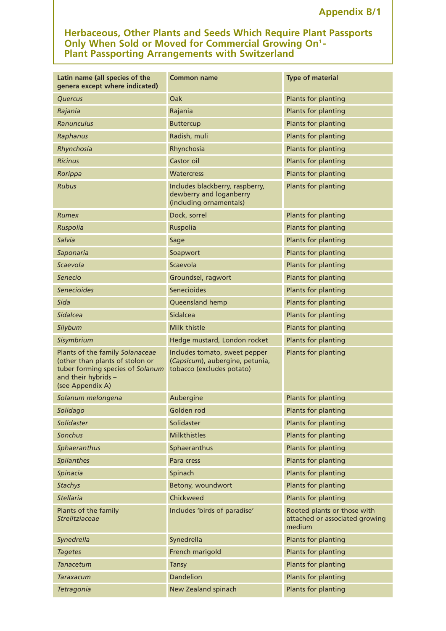| Latin name (all species of the<br>genera except where indicated)                                                                                  | <b>Common name</b>                                                                            | <b>Type of material</b>                                                 |
|---------------------------------------------------------------------------------------------------------------------------------------------------|-----------------------------------------------------------------------------------------------|-------------------------------------------------------------------------|
| <b>Quercus</b>                                                                                                                                    | Oak                                                                                           | Plants for planting                                                     |
| Rajania                                                                                                                                           | Rajania                                                                                       | Plants for planting                                                     |
| Ranunculus                                                                                                                                        | <b>Buttercup</b>                                                                              | Plants for planting                                                     |
| Raphanus                                                                                                                                          | Radish, muli                                                                                  | Plants for planting                                                     |
| Rhynchosia                                                                                                                                        | Rhynchosia                                                                                    | Plants for planting                                                     |
| <b>Ricinus</b>                                                                                                                                    | Castor oil                                                                                    | Plants for planting                                                     |
| Rorippa                                                                                                                                           | <b>Watercress</b>                                                                             | Plants for planting                                                     |
| <b>Rubus</b>                                                                                                                                      | Includes blackberry, raspberry,<br>dewberry and loganberry<br>(including ornamentals)         | Plants for planting                                                     |
| <b>Rumex</b>                                                                                                                                      | Dock, sorrel                                                                                  | <b>Plants for planting</b>                                              |
| Ruspolia                                                                                                                                          | Ruspolia                                                                                      | Plants for planting                                                     |
| Salvia                                                                                                                                            | Sage                                                                                          | Plants for planting                                                     |
| Saponaria                                                                                                                                         | Soapwort                                                                                      | Plants for planting                                                     |
| Scaevola                                                                                                                                          | Scaevola                                                                                      | Plants for planting                                                     |
| Senecio                                                                                                                                           | Groundsel, ragwort                                                                            | Plants for planting                                                     |
| <b>Senecioides</b>                                                                                                                                | Senecioides                                                                                   | Plants for planting                                                     |
| Sida                                                                                                                                              | Queensland hemp                                                                               | Plants for planting                                                     |
| <b>Sidalcea</b>                                                                                                                                   | Sidalcea                                                                                      | Plants for planting                                                     |
| Silybum                                                                                                                                           | Milk thistle                                                                                  | Plants for planting                                                     |
| Sisymbrium                                                                                                                                        | Hedge mustard, London rocket                                                                  | Plants for planting                                                     |
| Plants of the family Solanaceae<br>(other than plants of stolon or<br>tuber forming species of Solanum<br>and their hybrids -<br>(see Appendix A) | Includes tomato, sweet pepper<br>(Capsicum), aubergine, petunia,<br>tobacco (excludes potato) | Plants for planting                                                     |
| Solanum melongena                                                                                                                                 | Aubergine                                                                                     | Plants for planting                                                     |
| Solidago                                                                                                                                          | Golden rod                                                                                    | <b>Plants for planting</b>                                              |
| Solidaster                                                                                                                                        | Solidaster                                                                                    | Plants for planting                                                     |
| <b>Sonchus</b>                                                                                                                                    | <b>Milkthistles</b>                                                                           | Plants for planting                                                     |
| Sphaeranthus                                                                                                                                      | Sphaeranthus                                                                                  | Plants for planting                                                     |
| Spilanthes                                                                                                                                        | Para cress                                                                                    | Plants for planting                                                     |
| Spinacia                                                                                                                                          | Spinach                                                                                       | Plants for planting                                                     |
| <b>Stachys</b>                                                                                                                                    | Betony, woundwort                                                                             | Plants for planting                                                     |
| <b>Stellaria</b>                                                                                                                                  | Chickweed                                                                                     | Plants for planting                                                     |
| Plants of the family<br><b>Strelitziaceae</b>                                                                                                     | Includes 'birds of paradise'                                                                  | Rooted plants or those with<br>attached or associated growing<br>medium |
| Synedrella                                                                                                                                        | Synedrella                                                                                    | Plants for planting                                                     |
| <b>Tagetes</b>                                                                                                                                    | French marigold                                                                               | Plants for planting                                                     |
| Tanacetum                                                                                                                                         | <b>Tansy</b>                                                                                  | Plants for planting                                                     |
| Taraxacum                                                                                                                                         | <b>Dandelion</b>                                                                              | Plants for planting                                                     |
|                                                                                                                                                   |                                                                                               |                                                                         |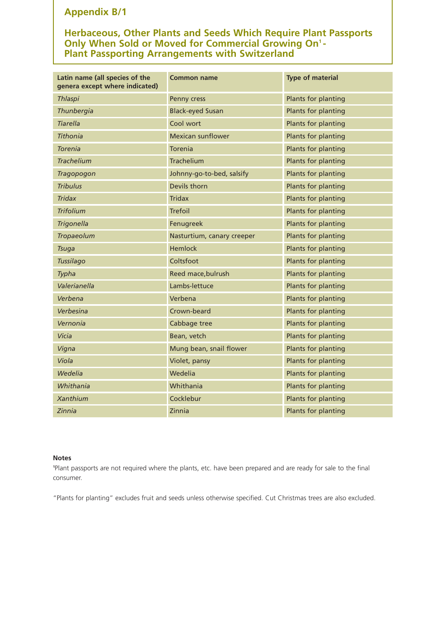# **Herbaceous, Other Plants and Seeds Which Require Plant Passports Only When Sold or Moved for Commercial Growing On1 - Plant Passporting Arrangements with Switzerland**

| Latin name (all species of the<br>genera except where indicated) | <b>Common name</b>         | <b>Type of material</b>    |
|------------------------------------------------------------------|----------------------------|----------------------------|
| <b>Thlaspi</b>                                                   | Penny cress                | Plants for planting        |
| Thunbergia                                                       | <b>Black-eyed Susan</b>    | Plants for planting        |
| <b>Tiarella</b>                                                  | Cool wort                  | Plants for planting        |
| <b>Tithonia</b>                                                  | <b>Mexican sunflower</b>   | Plants for planting        |
| <b>Torenia</b>                                                   | <b>Torenia</b>             | Plants for planting        |
| <b>Trachelium</b>                                                | <b>Trachelium</b>          | Plants for planting        |
| Tragopogon                                                       | Johnny-go-to-bed, salsify  | Plants for planting        |
| <b>Tribulus</b>                                                  | Devils thorn               | Plants for planting        |
| <b>Tridax</b>                                                    | <b>Tridax</b>              | Plants for planting        |
| <b>Trifolium</b>                                                 | <b>Trefoil</b>             | Plants for planting        |
| <b>Trigonella</b>                                                | Fenugreek                  | Plants for planting        |
| Tropaeolum                                                       | Nasturtium, canary creeper | Plants for planting        |
| <b>Tsuga</b>                                                     | <b>Hemlock</b>             | Plants for planting        |
| Tussilago                                                        | Coltsfoot                  | Plants for planting        |
| Typha                                                            | Reed mace, bulrush         | Plants for planting        |
| Valerianella                                                     | Lambs-lettuce              | Plants for planting        |
| Verbena                                                          | Verbena                    | Plants for planting        |
| Verbesina                                                        | Crown-beard                | Plants for planting        |
| Vernonia                                                         | Cabbage tree               | Plants for planting        |
| Vicia                                                            | Bean, vetch                | <b>Plants for planting</b> |
| Vigna                                                            | Mung bean, snail flower    | Plants for planting        |
| Viola                                                            | Violet, pansy              | Plants for planting        |
| Wedelia                                                          | Wedelia                    | Plants for planting        |
| Whithania                                                        | Whithania                  | Plants for planting        |
| <b>Xanthium</b>                                                  | Cocklebur                  | Plants for planting        |
| Zinnia                                                           | Zinnia                     | Plants for planting        |

#### **Notes**

**1** Plant passports are not required where the plants, etc. have been prepared and are ready for sale to the final consumer.

"Plants for planting" excludes fruit and seeds unless otherwise specified. Cut Christmas trees are also excluded.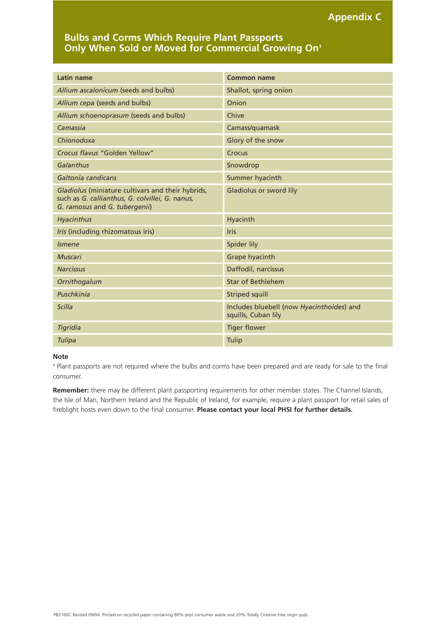# **Chapter 1 Interior Separate 1 Interior Plant Passports And Corms of The Corporation Only When Sold or Moved for Commercial Growing On1**

| Latin name                                                                                                                            | <b>Common name</b>                                               |
|---------------------------------------------------------------------------------------------------------------------------------------|------------------------------------------------------------------|
| Allium ascalonicum (seeds and bulbs)                                                                                                  | Shallot, spring onion                                            |
| Allium cepa (seeds and bulbs)                                                                                                         | Onion                                                            |
| Allium schoenoprasum (seeds and bulbs)                                                                                                | Chive                                                            |
| Camassia                                                                                                                              | Camass/quamask                                                   |
| Chionodoxa                                                                                                                            | Glory of the snow                                                |
| Crocus flavus "Golden Yellow"                                                                                                         | Crocus                                                           |
| Galanthus                                                                                                                             | Snowdrop                                                         |
| Galtonia candicans                                                                                                                    | Summer hyacinth                                                  |
| Gladiolus (miniature cultivars and their hybrids,<br>such as G. callianthus, G. colvillei, G. nanus,<br>G. ramosus and G. tubergenii) | Gladiolus or sword lily                                          |
| Hyacinthus                                                                                                                            | Hyacinth                                                         |
| Iris (including rhizomatous iris)                                                                                                     | <b>Iris</b>                                                      |
| <i><u><b>Ismene</b></u></i>                                                                                                           | Spider lily                                                      |
| <b>Muscari</b>                                                                                                                        | Grape hyacinth                                                   |
| <b>Narcissus</b>                                                                                                                      | Daffodil, narcissus                                              |
| Ornithogalum                                                                                                                          | <b>Star of Bethlehem</b>                                         |
| Puschkinia                                                                                                                            | <b>Striped squill</b>                                            |
| Scilla                                                                                                                                | Includes bluebell (now Hyacinthoides) and<br>squills, Cuban lily |
| Tigridia                                                                                                                              | <b>Tiger flower</b>                                              |
| Tulipa                                                                                                                                | Tulip                                                            |

#### **Note**

**<sup>1</sup>** Plant passports are not required where the bulbs and corms have been prepared and are ready for sale to the final consumer.

**Remember:** there may be different plant passporting requirements for other member states. The Channel Islands, the Isle of Man, Northern Ireland and the Republic of Ireland, for example, require a plant passport for retail sales of fireblight hosts even down to the final consumer. **Please contact your local PHSI for further details.**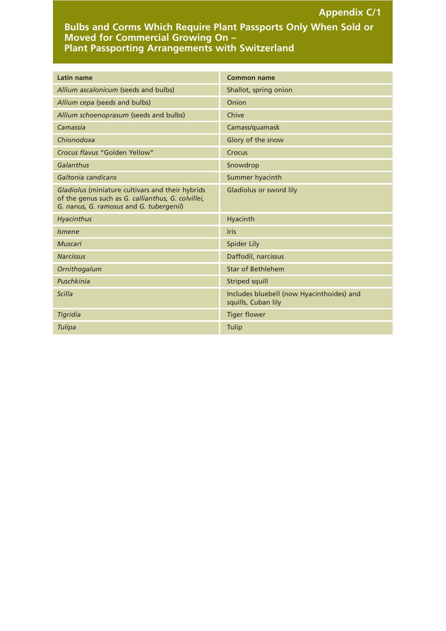#### **Chapter 1 International School of the United States and States 1 International Chapter 1 International Chapter 1 International Chapter 1 International Chapter 1 International Chapter 1 International Chapter 1 Internationa Bulbs and Corms Which Require Plant Passports Only When Sold or Moved for Commercial Growing On – Plant Passporting Arrangements with Switzerland**

| Latin name                                                                                                                                        | <b>Common name</b>                                               |
|---------------------------------------------------------------------------------------------------------------------------------------------------|------------------------------------------------------------------|
| Allium ascalonicum (seeds and bulbs)                                                                                                              | Shallot, spring onion                                            |
| Allium cepa (seeds and bulbs)                                                                                                                     | Onion                                                            |
| Allium schoenoprasum (seeds and bulbs)                                                                                                            | Chive                                                            |
| Camassia                                                                                                                                          | Camass/quamask                                                   |
| Chionodoxa                                                                                                                                        | Glory of the snow                                                |
| Crocus flavus "Golden Yellow"                                                                                                                     | Crocus                                                           |
| Galanthus                                                                                                                                         | Snowdrop                                                         |
| Galtonia candicans                                                                                                                                | Summer hyacinth                                                  |
| Gladiolus (miniature cultivars and their hybrids<br>of the genus such as G. callianthus, G. colvillei,<br>G. nanus, G. ramosus and G. tubergenii) | Gladiolus or sword lily                                          |
| Hyacinthus                                                                                                                                        | Hyacinth                                                         |
| <b>Ismene</b>                                                                                                                                     | <b>Iris</b>                                                      |
| <b>Muscari</b>                                                                                                                                    | <b>Spider Lily</b>                                               |
| <b>Narcissus</b>                                                                                                                                  | Daffodil, narcissus                                              |
| Ornithogalum                                                                                                                                      | <b>Star of Bethlehem</b>                                         |
| Puschkinia                                                                                                                                        | <b>Striped squill</b>                                            |
| Scilla                                                                                                                                            | Includes bluebell (now Hyacinthoides) and<br>squills, Cuban lily |
| Tigridia                                                                                                                                          | <b>Tiger flower</b>                                              |
| Tulipa                                                                                                                                            | Tulip                                                            |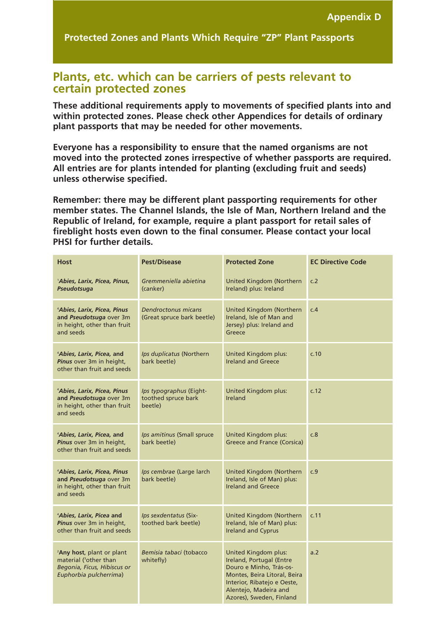Protected Zones and Plants Which Require "ZP" Plant Passports

# **Plants, etc. which can be carriers of pests relevant to certain protected zones**

**These additional requirements apply to movements of specified plants into and within protected zones. Please check other Appendices for details of ordinary plant passports that may be needed for other movements.**

**Everyone has a responsibility to ensure that the named organisms are not moved into the protected zones irrespective of whether passports are required. All entries are for plants intended for planting (excluding fruit and seeds) unless otherwise specified.** 

**Remember: there may be different plant passporting requirements for other member states. The Channel Islands, the Isle of Man, Northern Ireland and the Republic of Ireland, for example, require a plant passport for retail sales of fireblight hosts even down to the final consumer. Please contact your local PHSI for further details.**

| <b>Host</b>                                                                                                             | <b>Pest/Disease</b>                                       | <b>Protected Zone</b>                                                                                                                                                                                  | <b>EC Directive Code</b> |
|-------------------------------------------------------------------------------------------------------------------------|-----------------------------------------------------------|--------------------------------------------------------------------------------------------------------------------------------------------------------------------------------------------------------|--------------------------|
| 'Abies, Larix, Picea, Pinus,<br>Pseudotsuga                                                                             | Gremmeniella abietina<br>(canker)                         | <b>United Kingdom (Northern</b><br>Ireland) plus: Ireland                                                                                                                                              | c.2                      |
| <i><b>Abies, Larix, Picea, Pinus</b></i><br>and Pseudotsuga over 3m<br>in height, other than fruit<br>and seeds         | <b>Dendroctonus micans</b><br>(Great spruce bark beetle)  | United Kingdom (Northern<br>Ireland, Isle of Man and<br>Jersey) plus: Ireland and<br>Greece                                                                                                            | c.4                      |
| <sup>4</sup> Abies, Larix, Picea, and<br>Pinus over 3m in height,<br>other than fruit and seeds                         | Ips duplicatus (Northern<br>bark beetle)                  | <b>United Kingdom plus:</b><br><b>Ireland and Greece</b>                                                                                                                                               | c.10                     |
| <sup>4</sup> Abies, Larix, Picea, Pinus<br>and Pseudotsuga over 3m<br>in height, other than fruit<br>and seeds          | Ips typographus (Eight-<br>toothed spruce bark<br>beetle) | <b>United Kingdom plus:</b><br>Ireland                                                                                                                                                                 | c.12                     |
| <sup>4</sup> Abies, Larix, Picea, and<br>Pinus over 3m in height,<br>other than fruit and seeds                         | Ips amitinus (Small spruce<br>bark beetle)                | <b>United Kingdom plus:</b><br>Greece and France (Corsica)                                                                                                                                             | c.8                      |
| <sup>4</sup> Abies, Larix, Picea, Pinus<br>and Pseudotsuga over 3m<br>in height, other than fruit<br>and seeds          | Ips cembrae (Large larch<br>bark beetle)                  | <b>United Kingdom (Northern</b><br>Ireland, Isle of Man) plus:<br><b>Ireland and Greece</b>                                                                                                            | c.9                      |
| <sup>4</sup> Abies, Larix, Picea and<br>Pinus over 3m in height,<br>other than fruit and seeds                          | Ips sexdentatus (Six-<br>toothed bark beetle)             | <b>United Kingdom (Northern</b><br>Ireland, Isle of Man) plus:<br><b>Ireland and Cyprus</b>                                                                                                            | c.11                     |
| <sup>2</sup> Any host, plant or plant<br>material (3other than<br>Begonia, Ficus, Hibiscus or<br>Euphorbia pulcherrima) | Bemisia tabaci (tobacco<br>whitefly)                      | <b>United Kingdom plus:</b><br>Ireland, Portugal (Entre<br>Douro e Minho, Trás-os-<br>Montes, Beira Litoral, Beira<br>Interior, Ribatejo e Oeste,<br>Alentejo, Madeira and<br>Azores), Sweden, Finland | a.2                      |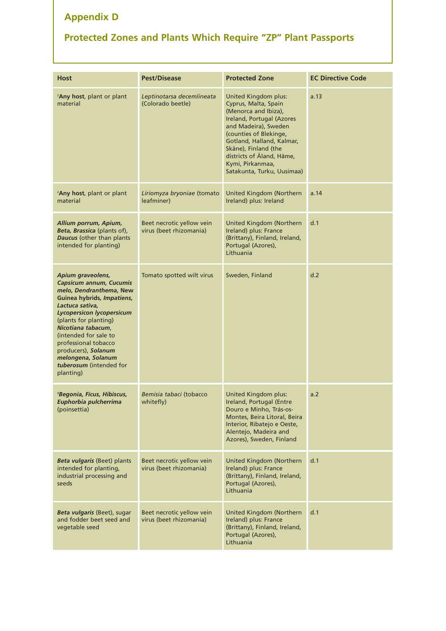# **Protected Zones and Plants Which Require "ZP" Plant Passports**

| <b>Host</b>                                                                                                                                                                                                                                                                                                                                       | <b>Pest/Disease</b>                                  | <b>Protected Zone</b>                                                                                                                                                                                                                                                                          | <b>EC Directive Code</b> |
|---------------------------------------------------------------------------------------------------------------------------------------------------------------------------------------------------------------------------------------------------------------------------------------------------------------------------------------------------|------------------------------------------------------|------------------------------------------------------------------------------------------------------------------------------------------------------------------------------------------------------------------------------------------------------------------------------------------------|--------------------------|
| <sup>2</sup> Any host, plant or plant<br>material                                                                                                                                                                                                                                                                                                 | Leptinotarsa decemlineata<br>(Colorado beetle)       | <b>United Kingdom plus:</b><br>Cyprus, Malta, Spain<br>(Menorca and Ibiza),<br>Ireland, Portugal (Azores<br>and Madeira), Sweden<br>(counties of Blekinge,<br>Gotland, Halland, Kalmar,<br>Skåne), Finland (the<br>districts of Åland, Häme,<br>Kymi, Pirkanmaa,<br>Satakunta, Turku, Uusimaa) | a.13                     |
| <sup>2</sup> Any host, plant or plant<br>material                                                                                                                                                                                                                                                                                                 | Liriomyza bryoniae (tomato<br>leafminer)             | <b>United Kingdom (Northern</b><br>Ireland) plus: Ireland                                                                                                                                                                                                                                      | a.14                     |
| Allium porrum, Apium,<br>Beta, Brassica (plants of),<br><b>Daucus</b> (other than plants<br>intended for planting)                                                                                                                                                                                                                                | Beet necrotic yellow vein<br>virus (beet rhizomania) | United Kingdom (Northern<br>Ireland) plus: France<br>(Brittany), Finland, Ireland,<br>Portugal (Azores),<br>Lithuania                                                                                                                                                                          | d.1                      |
| Apium graveolens,<br>Capsicum annum, Cucumis<br>melo, Dendranthema, New<br>Guinea hybrids, Impatiens,<br>Lactuca sativa,<br><b>Lycopersicon lycopersicum</b><br>(plants for planting)<br>Nicotiana tabacum,<br>(intended for sale to<br>professional tobacco<br>producers), Solanum<br>melongena, Solanum<br>tuberosum (intended for<br>planting) | Tomato spotted wilt virus                            | Sweden, Finland                                                                                                                                                                                                                                                                                | d.2                      |
| <sup>3</sup> Begonia, Ficus, Hibiscus,<br>Euphorbia pulcherrima<br>(poinsettia)                                                                                                                                                                                                                                                                   | Bemisia tabaci (tobacco<br>whitefly)                 | <b>United Kingdom plus:</b><br>Ireland, Portugal (Entre<br>Douro e Minho, Trás-os-<br>Montes, Beira Litoral, Beira<br>Interior, Ribatejo e Oeste,<br>Alentejo, Madeira and<br>Azores), Sweden, Finland                                                                                         | a.2                      |
| <b>Beta vulgaris (Beet) plants</b><br>intended for planting,<br>industrial processing and<br>seeds                                                                                                                                                                                                                                                | Beet necrotic yellow vein<br>virus (beet rhizomania) | United Kingdom (Northern<br>Ireland) plus: France<br>(Brittany), Finland, Ireland,<br>Portugal (Azores),<br>Lithuania                                                                                                                                                                          | d.1                      |
| Beta vulgaris (Beet), sugar<br>and fodder beet seed and<br>vegetable seed                                                                                                                                                                                                                                                                         | Beet necrotic yellow vein<br>virus (beet rhizomania) | <b>United Kingdom (Northern</b><br>Ireland) plus: France<br>(Brittany), Finland, Ireland,<br>Portugal (Azores),<br>Lithuania                                                                                                                                                                   | d.1                      |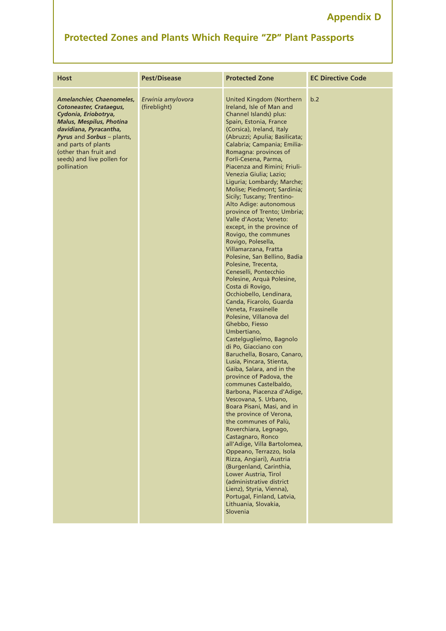# **Protected Zones and Plants Which Require "ZP" Plant Passports**

| <b>Host</b>                                                                                                                                                                                                                                                                        | <b>Pest/Disease</b>               | <b>Protected Zone</b>                                                                                                                                                                                                                                                                                                                                                                                                                                                                                                                                                                                                                                                                                                                                                                                                                                                                                                                                                                                                                                                                                                                                                                                                                                                                                                                                                                                                                                                                                                                    | <b>EC Directive Code</b> |
|------------------------------------------------------------------------------------------------------------------------------------------------------------------------------------------------------------------------------------------------------------------------------------|-----------------------------------|------------------------------------------------------------------------------------------------------------------------------------------------------------------------------------------------------------------------------------------------------------------------------------------------------------------------------------------------------------------------------------------------------------------------------------------------------------------------------------------------------------------------------------------------------------------------------------------------------------------------------------------------------------------------------------------------------------------------------------------------------------------------------------------------------------------------------------------------------------------------------------------------------------------------------------------------------------------------------------------------------------------------------------------------------------------------------------------------------------------------------------------------------------------------------------------------------------------------------------------------------------------------------------------------------------------------------------------------------------------------------------------------------------------------------------------------------------------------------------------------------------------------------------------|--------------------------|
| <b>Amelanchier, Chaenomeles,</b><br>Cotoneaster, Crataegus,<br>Cydonia, Eriobotrya,<br><b>Malus, Mespilus, Photina</b><br>davidiana, Pyracantha,<br><b>Pyrus and Sorbus - plants,</b><br>and parts of plants<br>(other than fruit and<br>seeds) and live pollen for<br>pollination | Erwinia amylovora<br>(fireblight) | United Kingdom (Northern<br>Ireland, Isle of Man and<br>Channel Islands) plus:<br>Spain, Estonia, France<br>(Corsica), Ireland, Italy<br>(Abruzzi; Apulia; Basilicata;<br>Calabria; Campania; Emilia-<br>Romagna: provinces of<br>Forlí-Cesena, Parma,<br>Piacenza and Rimini; Friuli-<br>Venezia Giulia; Lazio;<br>Liguria; Lombardy; Marche;<br>Molise; Piedmont; Sardinia;<br>Sicily; Tuscany; Trentino-<br>Alto Adige: autonomous<br>province of Trento; Umbria;<br>Valle d'Aosta; Veneto:<br>except, in the province of<br>Rovigo, the communes<br>Rovigo, Polesella,<br>Villamarzana, Fratta<br>Polesine, San Bellino, Badia<br>Polesine, Trecenta,<br>Ceneselli, Pontecchio<br>Polesine, Arquà Polesine,<br>Costa di Rovigo,<br>Occhiobello, Lendinara,<br>Canda, Ficarolo, Guarda<br>Veneta, Frassinelle<br>Polesine, Villanova del<br>Ghebbo, Fiesso<br>Umbertiano,<br>Castelguglielmo, Bagnolo<br>di Po, Giacciano con<br>Baruchella, Bosaro, Canaro,<br>Lusia, Pincara, Stienta,<br>Gaiba, Salara, and in the<br>province of Padova, the<br>communes Castelbaldo,<br>Barbona, Piacenza d'Adige,<br>Vescovana, S. Urbano,<br>Boara Pisani, Masi, and in<br>the province of Verona,<br>the communes of Palù,<br>Roverchiara, Legnago,<br>Castagnaro, Ronco<br>all'Adige, Villa Bartolomea,<br>Oppeano, Terrazzo, Isola<br>Rizza, Angiari), Austria<br>(Burgenland, Carinthia,<br>Lower Austria, Tirol<br>(administrative district<br>Lienz), Styria, Vienna),<br>Portugal, Finland, Latvia,<br>Lithuania, Slovakia,<br>Slovenia | b.2                      |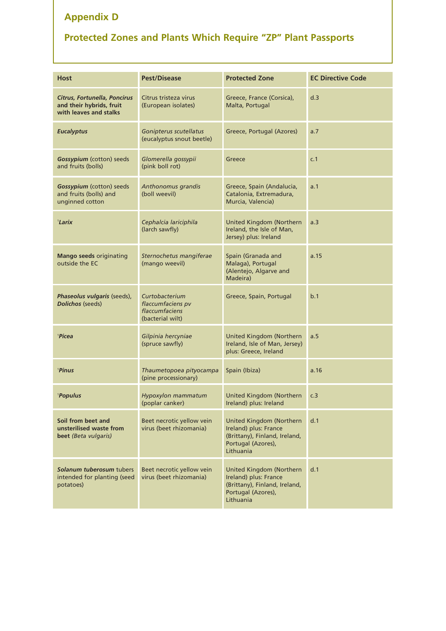# **Protected Zones and Plants Which Require "ZP" Plant Passports**

| <b>Host</b>                                                                        | <b>Pest/Disease</b>                                                       | <b>Protected Zone</b>                                                                                                 | <b>EC Directive Code</b> |
|------------------------------------------------------------------------------------|---------------------------------------------------------------------------|-----------------------------------------------------------------------------------------------------------------------|--------------------------|
| Citrus, Fortunella, Poncirus<br>and their hybrids, fruit<br>with leaves and stalks | Citrus tristeza virus<br>(European isolates)                              | Greece, France (Corsica),<br>Malta, Portugal                                                                          | d.3                      |
| <b>Eucalyptus</b>                                                                  | Gonipterus scutellatus<br>(eucalyptus snout beetle)                       | Greece, Portugal (Azores)                                                                                             | a.7                      |
| <b>Gossypium</b> (cotton) seeds<br>and fruits (bolls)                              | Glomerella gossypii<br>(pink boll rot)                                    | Greece                                                                                                                | c.1                      |
| <b>Gossypium</b> (cotton) seeds<br>and fruits (bolls) and<br>unginned cotton       | Anthonomus grandis<br>(boll weevil)                                       | Greece, Spain (Andalucia,<br>Catalonia, Extremadura,<br>Murcia, Valencia)                                             | a.1                      |
| 'Larix                                                                             | Cephalcia lariciphila<br>(larch sawfly)                                   | United Kingdom (Northern<br>Ireland, the Isle of Man,<br>Jersey) plus: Ireland                                        | a.3                      |
| Mango seeds originating<br>outside the EC                                          | Sternochetus mangiferae<br>(mango weevil)                                 | Spain (Granada and<br>Malaga), Portugal<br>(Alentejo, Algarve and<br>Madeira)                                         | a.15                     |
| Phaseolus vulgaris (seeds),<br><b>Dolichos</b> (seeds)                             | Curtobacterium<br>flaccumfaciens pv<br>flaccumfaciens<br>(bacterial wilt) | Greece, Spain, Portugal                                                                                               | b.1                      |
| <sup>1</sup> Picea                                                                 | Gilpinia hercyniae<br>(spruce sawfly)                                     | United Kingdom (Northern<br>Ireland, Isle of Man, Jersey)<br>plus: Greece, Ireland                                    | a.5                      |
| <sup>1</sup> Pinus                                                                 | Thaumetopoea pityocampa<br>(pine processionary)                           | Spain (Ibiza)                                                                                                         | a.16                     |
| <sup>1</sup> Populus                                                               | Hypoxylon mammatum<br>(poplar canker)                                     | United Kingdom (Northern<br>Ireland) plus: Ireland                                                                    | c.3                      |
| Soil from beet and<br>unsterilised waste from<br>beet (Beta vulgaris)              | Beet necrotic yellow vein<br>virus (beet rhizomania)                      | United Kingdom (Northern<br>Ireland) plus: France<br>(Brittany), Finland, Ireland,<br>Portugal (Azores),<br>Lithuania | d.1                      |
| Solanum tuberosum tubers<br>intended for planting (seed<br>potatoes)               | Beet necrotic yellow vein<br>virus (beet rhizomania)                      | United Kingdom (Northern<br>Ireland) plus: France<br>(Brittany), Finland, Ireland,<br>Portugal (Azores),<br>Lithuania | d.1                      |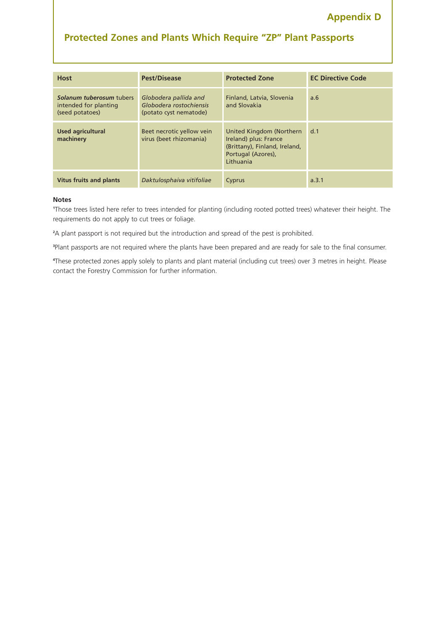# **Protected Zones and Plants Which Require "ZP" Plant Passports**

| <b>Host</b>                                                          | <b>Pest/Disease</b>                                                        | <b>Protected Zone</b>                                                                                                 | <b>EC Directive Code</b> |
|----------------------------------------------------------------------|----------------------------------------------------------------------------|-----------------------------------------------------------------------------------------------------------------------|--------------------------|
| Solanum tuberosum tubers<br>intended for planting<br>(seed potatoes) | Globodera pallida and<br>Globodera rostochiensis<br>(potato cyst nematode) | Finland, Latvia, Slovenia<br>and Slovakia                                                                             | a.6                      |
| <b>Used agricultural</b><br>machinery                                | Beet necrotic yellow vein<br>virus (beet rhizomania)                       | United Kingdom (Northern<br>Ireland) plus: France<br>(Brittany), Finland, Ireland,<br>Portugal (Azores),<br>Lithuania | d.1                      |
| <b>Vitus fruits and plants</b>                                       | Daktulosphaiva vitifoliae                                                  | Cyprus                                                                                                                | a.3.1                    |

#### **Notes**

**1** Those trees listed here refer to trees intended for planting (including rooted potted trees) whatever their height. The requirements do not apply to cut trees or foliage.

**2** A plant passport is not required but the introduction and spread of the pest is prohibited.

**3** Plant passports are not required where the plants have been prepared and are ready for sale to the final consumer.

**4** These protected zones apply solely to plants and plant material (including cut trees) over 3 metres in height. Please contact the Forestry Commission for further information.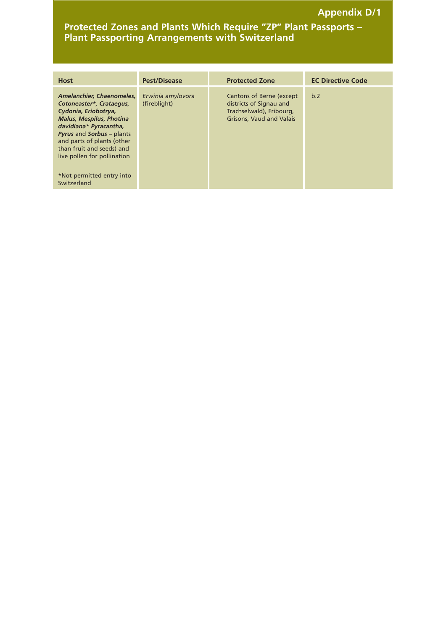#### **Protected Zones and Plants Which Require ''ZP" Plant Passports – Plant Passporting Arrangements with Switzerland**

| <b>Host</b>                                                                                                                                                                                                                                                                                                                 | <b>Pest/Disease</b>               | <b>Protected Zone</b>                                                                                                      | <b>EC Directive Code</b> |
|-----------------------------------------------------------------------------------------------------------------------------------------------------------------------------------------------------------------------------------------------------------------------------------------------------------------------------|-----------------------------------|----------------------------------------------------------------------------------------------------------------------------|--------------------------|
| <b>Amelanchier, Chaenomeles,</b><br>Cotoneaster*, Crataegus,<br>Cydonia, Eriobotrya,<br><b>Malus, Mespilus, Photina</b><br>davidiana* Pyracantha,<br><b>Pyrus and Sorbus - plants</b><br>and parts of plants (other<br>than fruit and seeds) and<br>live pollen for pollination<br>*Not permitted entry into<br>Switzerland | Erwinia amylovora<br>(fireblight) | <b>Cantons of Berne (except)</b><br>districts of Signau and<br>Trachselwald), Fribourg,<br><b>Grisons, Vaud and Valais</b> | b.2                      |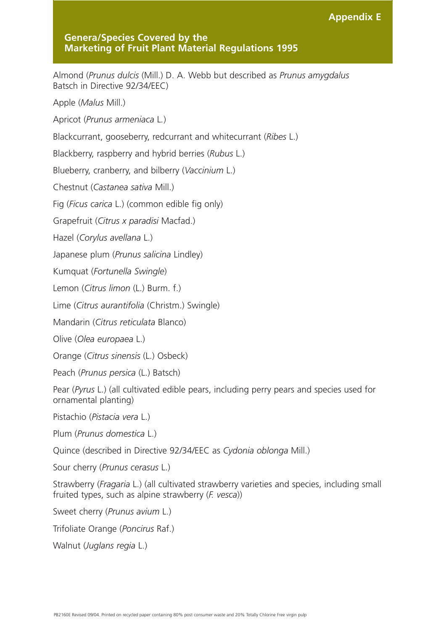#### **Appendix E**

# **Chapter 1 Internal Covered by the** *Covered by the County Community Community Community Community Community* **Marketing of Fruit Plant Material Regulations 1995**

Almond (*Prunus dulcis* (Mill.) D. A. Webb but described as *Prunus amygdalus* Batsch in Directive 92/34/EEC)

Apple (*Malus* Mill.)

Apricot (*Prunus armeniaca* L*.*)

Blackcurrant, gooseberry, redcurrant and whitecurrant (*Ribes* L.)

Blackberry, raspberry and hybrid berries (*Rubus* L.)

Blueberry, cranberry, and bilberry (*Vaccinium* L.)

Chestnut (*Castanea sativa* Mill.)

Fig (*Ficus carica* L.) (common edible fig only)

Grapefruit (*Citrus x paradisi* Macfad.)

Hazel (*Corylus avellana* L.)

Japanese plum (*Prunus salicina* Lindley)

Kumquat (*Fortunella Swingle*)

Lemon (*Citrus limon* (L.) Burm. f.)

Lime (*Citrus aurantifolia* (Christm.) Swingle)

Mandarin (*Citrus reticulata* Blanco)

Olive (*Olea europaea* L.)

Orange (*Citrus sinensis* (L.) Osbeck)

Peach (*Prunus persica* (L.) Batsch)

Pear (*Pyrus* L.) (all cultivated edible pears, including perry pears and species used for ornamental planting)

Pistachio (*Pistacia vera* L.)

Plum (*Prunus domestica* L.)

Quince (described in Directive 92/34/EEC as *Cydonia oblonga* Mill.)

Sour cherry (*Prunus cerasus* L.)

Strawberry (*Fragaria* L.) (all cultivated strawberry varieties and species, including small fruited types, such as alpine strawberry (*F. vesca*))

Sweet cherry (*Prunus avium* L.)

Trifoliate Orange (*Poncirus* Raf.)

Walnut (*Juglans regia* L.)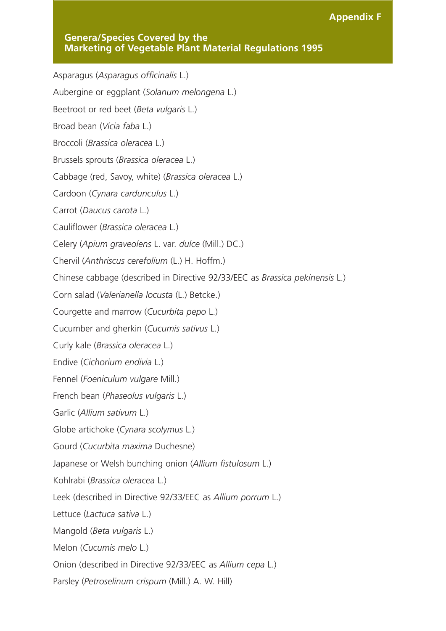# **Appendix F**

# **Chapter 1 Internal Covered by the** *Covered by the County Community Community Community Community Community* **Marketing of Vegetable Plant Material Regulations 1995**

Asparagus (*Asparagus officinalis* L.)

Aubergine or eggplant (*Solanum melongena* L.)

Beetroot or red beet (*Beta vulgaris* L.)

Broad bean (*Vicia faba* L.)

Broccoli (*Brassica oleracea* L.)

Brussels sprouts (*Brassica oleracea* L.)

Cabbage (red, Savoy, white) (*Brassica oleracea* L.)

Cardoon (*Cynara cardunculus* L.)

Carrot (*Daucus carota* L.)

Cauliflower (*Brassica oleracea* L.)

Celery (*Apium graveolens* L. var. *dulce* (Mill.) DC.)

Chervil (*Anthriscus cerefolium* (L.) H. Hoffm.)

Chinese cabbage (described in Directive 92/33/EEC as *Brassica pekinensis* L.)

Corn salad (*Valerianella locusta* (L.) Betcke.)

Courgette and marrow (*Cucurbita pepo* L.)

Cucumber and gherkin (*Cucumis sativus* L.)

Curly kale (*Brassica oleracea* L.)

Endive (*Cichorium endivia* L.)

Fennel (*Foeniculum vulgare* Mill.)

French bean (*Phaseolus vulgaris* L.)

Garlic (*Allium sativum* L.)

Globe artichoke (*Cynara scolymus* L.)

Gourd (*Cucurbita maxima* Duchesne)

Japanese or Welsh bunching onion (*Allium fistulosum* L.)

Kohlrabi (*Brassica oleracea* L.)

Leek (described in Directive 92/33/EEC as *Allium porrum* L.)

Lettuce (*Lactuca sativa* L.)

Mangold (*Beta vulgaris* L.)

Melon (*Cucumis melo* L.)

Onion (described in Directive 92/33/EEC as *Allium cepa* L.)

Parsley (*Petroselinum crispum* (Mill.) A. W. Hill)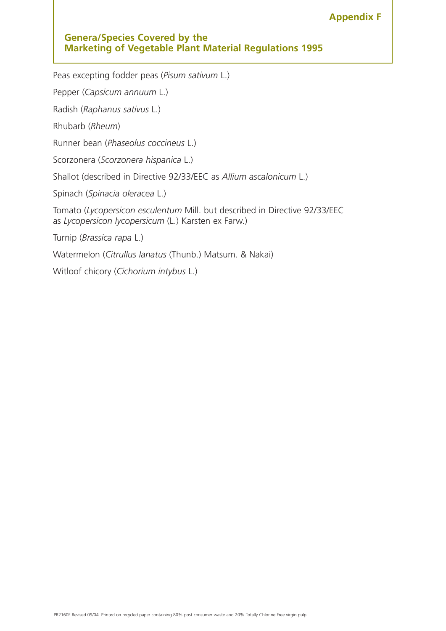# **Appendix F**

# **Genera/Species Covered by the Marketing of Vegetable Plant Material Regulations 1995**

Peas excepting fodder peas (*Pisum sativum* L.)

Pepper (*Capsicum annuum* L.)

Radish (*Raphanus sativus* L.)

Rhubarb (*Rheum*)

Runner bean (*Phaseolus coccineus* L.)

Scorzonera (*Scorzonera hispanica* L.)

Shallot (described in Directive 92/33/EEC as *Allium ascalonicum* L.)

Spinach (*Spinacia oleracea* L.)

Tomato (*Lycopersicon esculentum* Mill. but described in Directive 92/33/EEC as *Lycopersicon lycopersicum* (L.) Karsten ex Farw.)

Turnip (*Brassica rapa* L.)

Watermelon (*Citrullus lanatus* (Thunb.) Matsum. & Nakai)

Witloof chicory (*Cichorium intybus* L.)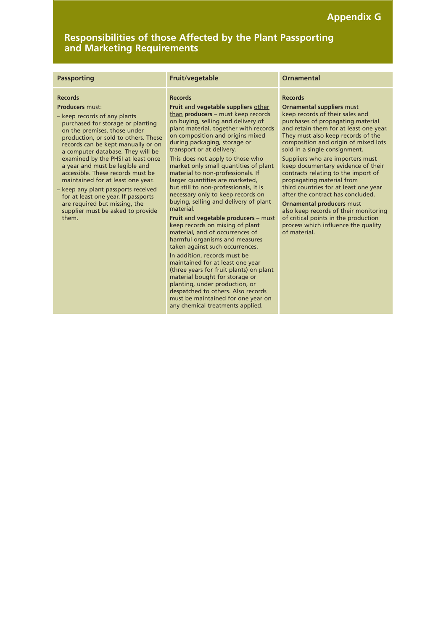# **Responsibilities of those Affected by the Plant Passporting and Marketing Requirements**

#### **Passporting Community Community** Fruit/vegetable Community Community Community

#### **Records**

#### **Producers** must:

- keep records of any plants purchased for storage or planting on the premises, those under production, or sold to others. These records can be kept manually or on a computer database. They will be examined by the PHSI at least once a year and must be legible and accessible. These records must be maintained for at least one year.
- keep any plant passports received for at least one year. If passports are required but missing, the supplier must be asked to provide them.

#### **Records**

**Fruit** and **vegetable suppliers** other than **producers** – must keep records on buying, selling and delivery of plant material, together with records on composition and origins mixed during packaging, storage or transport or at delivery.

This does not apply to those who market only small quantities of plant material to non-professionals. If larger quantities are marketed, but still to non-professionals, it is necessary only to keep records on buying, selling and delivery of plant material.

**Fruit** and **vegetable producers** – must keep records on mixing of plant material, and of occurrences of harmful organisms and measures taken against such occurrences.

In addition, records must be maintained for at least one year (three years for fruit plants) on plant material bought for storage or planting, under production, or despatched to others. Also records must be maintained for one year on any chemical treatments applied.

#### **Records**

**Ornamental suppliers** must keep records of their sales and purchases of propagating material and retain them for at least one year. They must also keep records of the composition and origin of mixed lots sold in a single consignment.

Suppliers who are importers must keep documentary evidence of their contracts relating to the import of propagating material from third countries for at least one year after the contract has concluded.

**Ornamental producers** must

also keep records of their monitoring of critical points in the production process which influence the quality of material.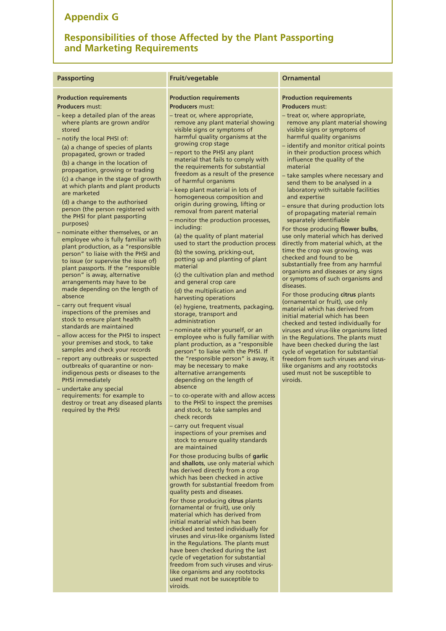# **Appendix G**

# **Responsibilities of those Affected by the Plant Passporting and Marketing Requirements**

| <b>Passporting</b>                                                                                                                                                                                                                                                                                                                                                                                                                                                                                                                                                                                                                                                                                                                                                                                                                                                                                                                                                                                                                                                                                                                                                                                                                                                                                                                                                                                          | Fruit/vegetable                                                                                                                                                                                                                                                                                                                                                                                                                                                                                                                                                                                                                                                                                                                                                                                                                                                                                                                                                                                                                                                                                                                                                                                                                                                                                                                                                                                                                                                                                                                                                                                                                                                                                                                                                                                                                                                                                                                                                                                                                                                                                                                                                                                                                                        | <b>Ornamental</b>                                                                                                                                                                                                                                                                                                                                                                                                                                                                                                                                                                                                                                                                                                                                                                                                                                                                                                                                                                                                                                                                                                                                                                                                                                                                                                                                           |
|-------------------------------------------------------------------------------------------------------------------------------------------------------------------------------------------------------------------------------------------------------------------------------------------------------------------------------------------------------------------------------------------------------------------------------------------------------------------------------------------------------------------------------------------------------------------------------------------------------------------------------------------------------------------------------------------------------------------------------------------------------------------------------------------------------------------------------------------------------------------------------------------------------------------------------------------------------------------------------------------------------------------------------------------------------------------------------------------------------------------------------------------------------------------------------------------------------------------------------------------------------------------------------------------------------------------------------------------------------------------------------------------------------------|--------------------------------------------------------------------------------------------------------------------------------------------------------------------------------------------------------------------------------------------------------------------------------------------------------------------------------------------------------------------------------------------------------------------------------------------------------------------------------------------------------------------------------------------------------------------------------------------------------------------------------------------------------------------------------------------------------------------------------------------------------------------------------------------------------------------------------------------------------------------------------------------------------------------------------------------------------------------------------------------------------------------------------------------------------------------------------------------------------------------------------------------------------------------------------------------------------------------------------------------------------------------------------------------------------------------------------------------------------------------------------------------------------------------------------------------------------------------------------------------------------------------------------------------------------------------------------------------------------------------------------------------------------------------------------------------------------------------------------------------------------------------------------------------------------------------------------------------------------------------------------------------------------------------------------------------------------------------------------------------------------------------------------------------------------------------------------------------------------------------------------------------------------------------------------------------------------------------------------------------------------|-------------------------------------------------------------------------------------------------------------------------------------------------------------------------------------------------------------------------------------------------------------------------------------------------------------------------------------------------------------------------------------------------------------------------------------------------------------------------------------------------------------------------------------------------------------------------------------------------------------------------------------------------------------------------------------------------------------------------------------------------------------------------------------------------------------------------------------------------------------------------------------------------------------------------------------------------------------------------------------------------------------------------------------------------------------------------------------------------------------------------------------------------------------------------------------------------------------------------------------------------------------------------------------------------------------------------------------------------------------|
| <b>Production requirements</b><br><b>Producers must:</b><br>- keep a detailed plan of the areas<br>where plants are grown and/or<br>stored<br>- notify the local PHSI of:<br>(a) a change of species of plants<br>propagated, grown or traded<br>(b) a change in the location of<br>propagation, growing or trading<br>(c) a change in the stage of growth<br>at which plants and plant products<br>are marketed<br>(d) a change to the authorised<br>person (the person registered with<br>the PHSI for plant passporting<br>purposes)<br>nominate either themselves, or an<br>employee who is fully familiar with<br>plant production, as a "responsible<br>person" to liaise with the PHSI and<br>to issue (or supervise the issue of)<br>plant passports. If the "responsible<br>person" is away, alternative<br>arrangements may have to be<br>made depending on the length of<br>absence<br>carry out frequent visual<br>inspections of the premises and<br>stock to ensure plant health<br>standards are maintained<br>allow access for the PHSI to inspect<br>your premises and stock, to take<br>samples and check your records<br>report any outbreaks or suspected<br>outbreaks of quarantine or non-<br>indigenous pests or diseases to the<br><b>PHSI</b> immediately<br>undertake any special<br>requirements: for example to<br>destroy or treat any diseased plants<br>required by the PHSI | <b>Production requirements</b><br><b>Producers must:</b><br>- treat or, where appropriate,<br>remove any plant material showing<br>visible signs or symptoms of<br>harmful quality organisms at the<br>growing crop stage<br>- report to the PHSI any plant<br>material that fails to comply with<br>the requirements for substantial<br>freedom as a result of the presence<br>of harmful organisms<br>- keep plant material in lots of<br>homogeneous composition and<br>origin during growing, lifting or<br>removal from parent material<br>- monitor the production processes,<br>including:<br>(a) the quality of plant material<br>used to start the production process<br>(b) the sowing, pricking-out,<br>potting up and planting of plant<br>material<br>(c) the cultivation plan and method<br>and general crop care<br>(d) the multiplication and<br>harvesting operations<br>(e) hygiene, treatments, packaging,<br>storage, transport and<br>administration<br>- nominate either yourself, or an<br>employee who is fully familiar with<br>plant production, as a "responsible<br>person" to liaise with the PHSI. If<br>the "responsible person" is away, it<br>may be necessary to make<br>alternative arrangements<br>depending on the length of<br>absence<br>- to co-operate with and allow access<br>to the PHSI to inspect the premises<br>and stock, to take samples and<br>check records<br>- carry out frequent visual<br>inspections of your premises and<br>stock to ensure quality standards<br>are maintained<br>For those producing bulbs of garlic<br>and shallots, use only material which<br>has derived directly from a crop<br>which has been checked in active<br>growth for substantial freedom from<br>quality pests and diseases.<br>For those producing citrus plants<br>(ornamental or fruit), use only<br>material which has derived from<br>initial material which has been<br>checked and tested individually for<br>viruses and virus-like organisms listed<br>in the Regulations. The plants must<br>have been checked during the last<br>cycle of vegetation for substantial<br>freedom from such viruses and virus-<br>like organisms and any rootstocks<br>used must not be susceptible to<br>viroids. | <b>Production requirements</b><br><b>Producers must:</b><br>- treat or, where appropriate,<br>remove any plant material showing<br>visible signs or symptoms of<br>harmful quality organisms<br>- identify and monitor critical points<br>in their production process which<br>influence the quality of the<br>material<br>- take samples where necessary and<br>send them to be analysed in a<br>laboratory with suitable facilities<br>and expertise<br>- ensure that during production lots<br>of propagating material remain<br>separately identifiable<br>For those producing flower bulbs,<br>use only material which has derived<br>directly from material which, at the<br>time the crop was growing, was<br>checked and found to be<br>substantially free from any harmful<br>organisms and diseases or any signs<br>or symptoms of such organisms and<br>diseases.<br>For those producing citrus plants<br>(ornamental or fruit), use only<br>material which has derived from<br>initial material which has been<br>checked and tested individually for<br>viruses and virus-like organisms listed<br>in the Regulations. The plants must<br>have been checked during the last<br>cycle of vegetation for substantial<br>freedom from such viruses and virus-<br>like organisms and any rootstocks<br>used must not be susceptible to<br>viroids. |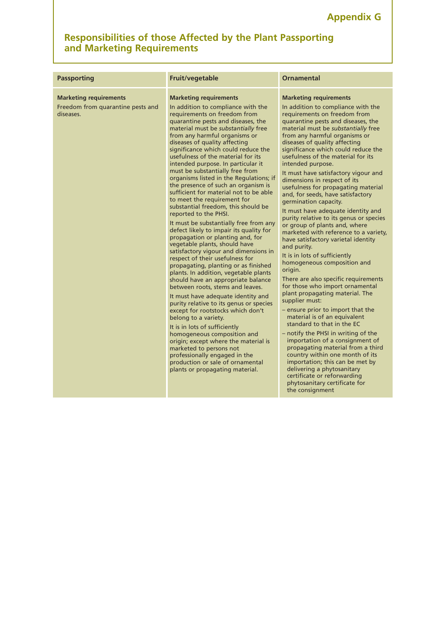# **Responsibilities of those Affected by the Plant Passporting and Marketing Requirements**

| <b>Passporting</b>                                                              | Fruit/vegetable                                                                                                                                                                                                                                                                                                                                                                                                                                                                                                                                                                                                                                                                                                                                                                                                                                                                                                                                                                                                                                                                                                                                                                                                                                                                                                                                                                                                               | <b>Ornamental</b>                                                                                                                                                                                                                                                                                                                                                                                                                                                                                                                                                                                                                                                                                                                                                                                                                                                                                                                                                                                                                                                                                                                                                                                                                                                                                                                                                      |
|---------------------------------------------------------------------------------|-------------------------------------------------------------------------------------------------------------------------------------------------------------------------------------------------------------------------------------------------------------------------------------------------------------------------------------------------------------------------------------------------------------------------------------------------------------------------------------------------------------------------------------------------------------------------------------------------------------------------------------------------------------------------------------------------------------------------------------------------------------------------------------------------------------------------------------------------------------------------------------------------------------------------------------------------------------------------------------------------------------------------------------------------------------------------------------------------------------------------------------------------------------------------------------------------------------------------------------------------------------------------------------------------------------------------------------------------------------------------------------------------------------------------------|------------------------------------------------------------------------------------------------------------------------------------------------------------------------------------------------------------------------------------------------------------------------------------------------------------------------------------------------------------------------------------------------------------------------------------------------------------------------------------------------------------------------------------------------------------------------------------------------------------------------------------------------------------------------------------------------------------------------------------------------------------------------------------------------------------------------------------------------------------------------------------------------------------------------------------------------------------------------------------------------------------------------------------------------------------------------------------------------------------------------------------------------------------------------------------------------------------------------------------------------------------------------------------------------------------------------------------------------------------------------|
| <b>Marketing requirements</b><br>Freedom from quarantine pests and<br>diseases. | <b>Marketing requirements</b><br>In addition to compliance with the<br>requirements on freedom from<br>quarantine pests and diseases, the<br>material must be substantially free<br>from any harmful organisms or<br>diseases of quality affecting<br>significance which could reduce the<br>usefulness of the material for its<br>intended purpose. In particular it<br>must be substantially free from<br>organisms listed in the Regulations; if<br>the presence of such an organism is<br>sufficient for material not to be able<br>to meet the requirement for<br>substantial freedom, this should be<br>reported to the PHSI.<br>It must be substantially free from any<br>defect likely to impair its quality for<br>propagation or planting and, for<br>vegetable plants, should have<br>satisfactory vigour and dimensions in<br>respect of their usefulness for<br>propagating, planting or as finished<br>plants. In addition, vegetable plants<br>should have an appropriate balance<br>between roots, stems and leaves.<br>It must have adequate identity and<br>purity relative to its genus or species<br>except for rootstocks which don't<br>belong to a variety.<br>It is in lots of sufficiently<br>homogeneous composition and<br>origin; except where the material is<br>marketed to persons not<br>professionally engaged in the<br>production or sale of ornamental<br>plants or propagating material. | <b>Marketing requirements</b><br>In addition to compliance with the<br>requirements on freedom from<br>quarantine pests and diseases, the<br>material must be substantially free<br>from any harmful organisms or<br>diseases of quality affecting<br>significance which could reduce the<br>usefulness of the material for its<br>intended purpose.<br>It must have satisfactory vigour and<br>dimensions in respect of its<br>usefulness for propagating material<br>and, for seeds, have satisfactory<br>germination capacity.<br>It must have adequate identity and<br>purity relative to its genus or species<br>or group of plants and, where<br>marketed with reference to a variety,<br>have satisfactory varietal identity<br>and purity.<br>It is in lots of sufficiently<br>homogeneous composition and<br>origin.<br>There are also specific requirements<br>for those who import ornamental<br>plant propagating material. The<br>supplier must:<br>- ensure prior to import that the<br>material is of an equivalent<br>standard to that in the EC<br>- notify the PHSI in writing of the<br>importation of a consignment of<br>propagating material from a third<br>country within one month of its<br>importation; this can be met by<br>delivering a phytosanitary<br>certificate or reforwarding<br>phytosanitary certificate for<br>the consignment |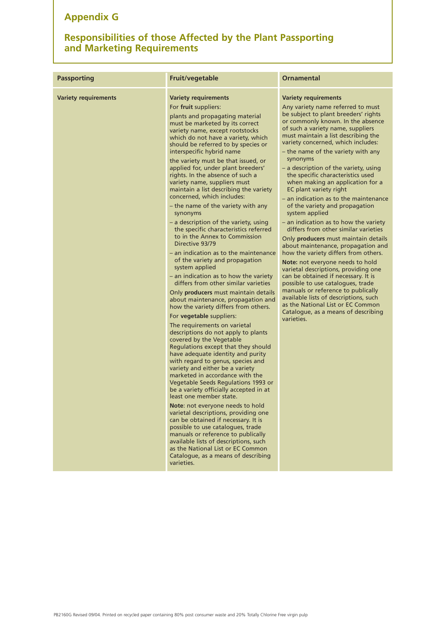# **Appendix G**

# **Responsibilities of those Affected by the Plant Passporting and Marketing Requirements**

| <b>Passporting</b>          | Fruit/vegetable                                                                                                                                                                                                                                                                                                                                                                                                                                                                                                                                                                                                                                                                                                                                                                                                                                                                                                                                                                                                                                                                                                                                                                                                                                                                                                                                                                                                                                                                                                                                                                                                                                                                                                                                                | <b>Ornamental</b>                                                                                                                                                                                                                                                                                                                                                                                                                                                                                                                                                                                                                                                                                                                                                                                                                                                                                                                                                                                                                                                                                  |
|-----------------------------|----------------------------------------------------------------------------------------------------------------------------------------------------------------------------------------------------------------------------------------------------------------------------------------------------------------------------------------------------------------------------------------------------------------------------------------------------------------------------------------------------------------------------------------------------------------------------------------------------------------------------------------------------------------------------------------------------------------------------------------------------------------------------------------------------------------------------------------------------------------------------------------------------------------------------------------------------------------------------------------------------------------------------------------------------------------------------------------------------------------------------------------------------------------------------------------------------------------------------------------------------------------------------------------------------------------------------------------------------------------------------------------------------------------------------------------------------------------------------------------------------------------------------------------------------------------------------------------------------------------------------------------------------------------------------------------------------------------------------------------------------------------|----------------------------------------------------------------------------------------------------------------------------------------------------------------------------------------------------------------------------------------------------------------------------------------------------------------------------------------------------------------------------------------------------------------------------------------------------------------------------------------------------------------------------------------------------------------------------------------------------------------------------------------------------------------------------------------------------------------------------------------------------------------------------------------------------------------------------------------------------------------------------------------------------------------------------------------------------------------------------------------------------------------------------------------------------------------------------------------------------|
| <b>Variety requirements</b> | <b>Variety requirements</b><br>For fruit suppliers:<br>plants and propagating material<br>must be marketed by its correct<br>variety name, except rootstocks<br>which do not have a variety, which<br>should be referred to by species or<br>interspecific hybrid name<br>the variety must be that issued, or<br>applied for, under plant breeders'<br>rights. In the absence of such a<br>variety name, suppliers must<br>maintain a list describing the variety<br>concerned, which includes:<br>- the name of the variety with any<br>synonyms<br>- a description of the variety, using<br>the specific characteristics referred<br>to in the Annex to Commission<br>Directive 93/79<br>- an indication as to the maintenance<br>of the variety and propagation<br>system applied<br>- an indication as to how the variety<br>differs from other similar varieties<br>Only producers must maintain details<br>about maintenance, propagation and<br>how the variety differs from others.<br>For vegetable suppliers:<br>The requirements on varietal<br>descriptions do not apply to plants<br>covered by the Vegetable<br>Regulations except that they should<br>have adequate identity and purity<br>with regard to genus, species and<br>variety and either be a variety<br>marketed in accordance with the<br>Vegetable Seeds Regulations 1993 or<br>be a variety officially accepted in at<br>least one member state.<br>Note: not everyone needs to hold<br>varietal descriptions, providing one<br>can be obtained if necessary. It is<br>possible to use catalogues, trade<br>manuals or reference to publically<br>available lists of descriptions, such<br>as the National List or EC Common<br>Catalogue, as a means of describing<br>varieties. | <b>Variety requirements</b><br>Any variety name referred to must<br>be subject to plant breeders' rights<br>or commonly known. In the absence<br>of such a variety name, suppliers<br>must maintain a list describing the<br>variety concerned, which includes:<br>- the name of the variety with any<br>synonyms<br>- a description of the variety, using<br>the specific characteristics used<br>when making an application for a<br>EC plant variety right<br>- an indication as to the maintenance<br>of the variety and propagation<br>system applied<br>- an indication as to how the variety<br>differs from other similar varieties<br>Only producers must maintain details<br>about maintenance, propagation and<br>how the variety differs from others.<br>Note: not everyone needs to hold<br>varietal descriptions, providing one<br>can be obtained if necessary. It is<br>possible to use catalogues, trade<br>manuals or reference to publically<br>available lists of descriptions, such<br>as the National List or EC Common<br>Catalogue, as a means of describing<br>varieties. |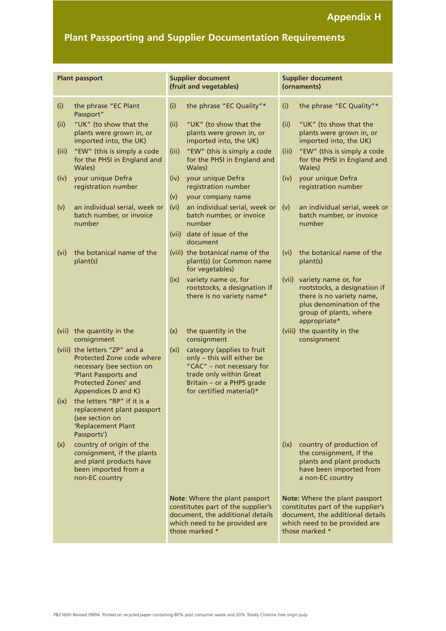# **Appendix H**

# **Plant Passporting and Supplier Documentation Requirements**

|               | <b>Plant passport</b>                                                                                                                                          | <b>Supplier document</b><br>(fruit and vegetables)                                                                                                                                | <b>Supplier document</b><br>(ornaments)                                                                                                                          |
|---------------|----------------------------------------------------------------------------------------------------------------------------------------------------------------|-----------------------------------------------------------------------------------------------------------------------------------------------------------------------------------|------------------------------------------------------------------------------------------------------------------------------------------------------------------|
| (i)           | the phrase "EC Plant<br>Passport"                                                                                                                              | (i)<br>the phrase "EC Quality"*                                                                                                                                                   | (i)<br>the phrase "EC Quality"*                                                                                                                                  |
| (ii)<br>(iii) | "UK" (to show that the<br>plants were grown in, or<br>imported into, the UK)<br>"EW" (this is simply a code                                                    | (ii)<br>"UK" (to show that the<br>plants were grown in, or<br>imported into, the UK)<br>"EW" (this is simply a code<br>(iii)                                                      | (ii)<br>"UK" (to show that the<br>plants were grown in, or<br>imported into, the UK)<br>"EW" (this is simply a code<br>(iii)                                     |
|               | for the PHSI in England and<br>Wales)                                                                                                                          | for the PHSI in England and<br>Wales)                                                                                                                                             | for the PHSI in England and<br>Wales)                                                                                                                            |
| (iv)          | your unique Defra<br>registration number                                                                                                                       | your unique Defra<br>(iv)<br>registration number                                                                                                                                  | your unique Defra<br>(iv)<br>registration number                                                                                                                 |
|               |                                                                                                                                                                | (v)<br>your company name                                                                                                                                                          |                                                                                                                                                                  |
| (v)           | an individual serial, week or<br>batch number, or invoice<br>number                                                                                            | (vi)<br>an individual serial, week or<br>batch number, or invoice<br>number                                                                                                       | (v)<br>an individual serial, week or<br>batch number, or invoice<br>number                                                                                       |
|               |                                                                                                                                                                | (vii) date of issue of the<br>document                                                                                                                                            |                                                                                                                                                                  |
| (vi)          | the botanical name of the<br>plant(s)                                                                                                                          | (viii) the botanical name of the<br>plant(s) (or Common name<br>for vegetables)                                                                                                   | (vi)<br>the botanical name of the<br>plant(s)                                                                                                                    |
|               |                                                                                                                                                                | variety name or, for<br>(ix)<br>rootstocks, a designation if<br>there is no variety name*                                                                                         | variety name or, for<br>(vii)<br>rootstocks, a designation if<br>there is no variety name,<br>plus denomination of the<br>group of plants, where<br>appropriate* |
|               | (vii) the quantity in the<br>consignment                                                                                                                       | (x)<br>the quantity in the<br>consignment                                                                                                                                         | (viii) the quantity in the<br>consignment                                                                                                                        |
|               | (viii) the letters "ZP" and a<br>Protected Zone code where<br>necessary (see section on<br>'Plant Passports and<br>Protected Zones' and<br>Appendices D and K) | (xi)<br>category (applies to fruit<br>only - this will either be<br>"CAC" - not necessary for<br>trade only within Great<br>Britain - or a PHPS grade<br>for certified material)* |                                                                                                                                                                  |
|               | (ix) the letters "RP" if it is a<br>replacement plant passport<br>(see section on<br>'Replacement Plant<br>Passports')                                         |                                                                                                                                                                                   |                                                                                                                                                                  |
| (x)           | country of origin of the<br>consignment, if the plants<br>and plant products have<br>been imported from a<br>non-EC country                                    |                                                                                                                                                                                   | (ix)<br>country of production of<br>the consignment, if the<br>plants and plant products<br>have been imported from<br>a non-EC country                          |
|               |                                                                                                                                                                | Note: Where the plant passport<br>constitutes part of the supplier's<br>document, the additional details<br>which need to be provided are<br>those marked *                       | Note: Where the plant passport<br>constitutes part of the supplier's<br>document, the additional details<br>which need to be provided are<br>those marked *      |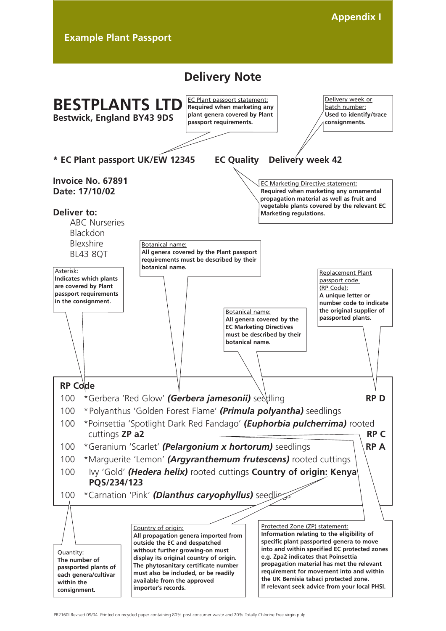

PB2160I Revised 09/04. Printed on recycled paper containing 80% post consumer waste and 20% Totally Chlorine Free virgin pulp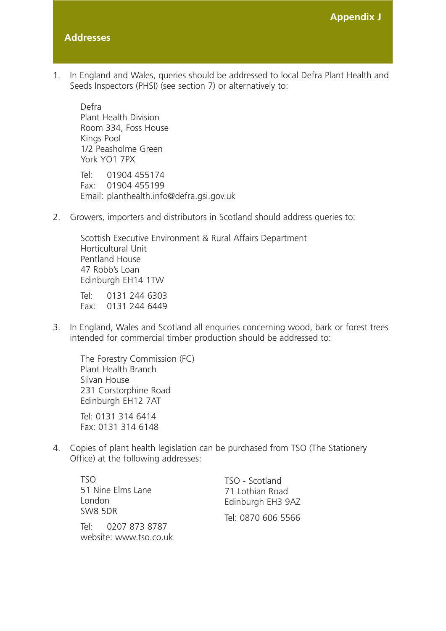1. In England and Wales, queries should be addressed to local Defra Plant Health and Seeds Inspectors (PHSI) (see section 7) or alternatively to:

Defra Plant Health Division Room 334, Foss House Kings Pool 1/2 Peasholme Green York YO1 7PX Tel: 01904 455174

Fax: 01904 455199 Email: planthealth.info@defra.gsi.gov.uk

2. Growers, importers and distributors in Scotland should address queries to:

Scottish Executive Environment & Rural Affairs Department Horticultural Unit Pentland House 47 Robb's Loan Edinburgh EH14 1TW

Tel: 0131 244 6303 Fax: 0131 244 6449

3. In England, Wales and Scotland all enquiries concerning wood, bark or forest trees intended for commercial timber production should be addressed to:

The Forestry Commission (FC) Plant Health Branch Silvan House 231 Corstorphine Road Edinburgh EH12 7AT

Tel: 0131 314 6414 Fax: 0131 314 6148

4. Copies of plant health legislation can be purchased from TSO (The Stationery Office) at the following addresses:

| TSO.                   | TSO - Scotland     |
|------------------------|--------------------|
| 51 Nine Elms Lane      | 71 Lothian Road    |
| London                 | Edinburgh EH3 9AZ  |
| SW8 5DR                | Tel: 0870 606 5566 |
| Tel: 0207 873 8787     |                    |
| website: www.tso.co.uk |                    |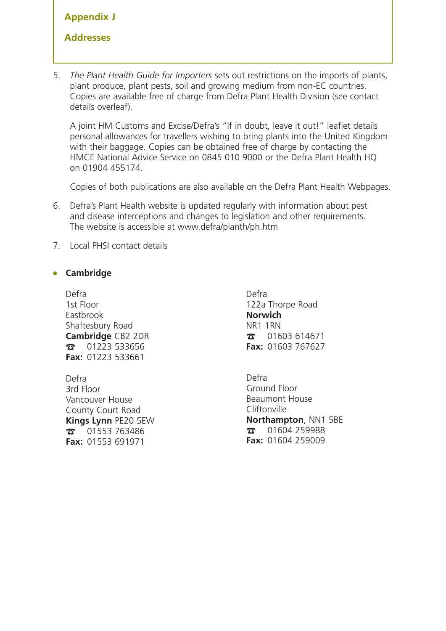**Appendix J**

# **Addresses**

5. *The Plant Health Guide for Importers* sets out restrictions on the imports of plants, plant produce, plant pests, soil and growing medium from non-EC countries. Copies are available free of charge from Defra Plant Health Division (see contact details overleaf).

A joint HM Customs and Excise/Defra's "If in doubt, leave it out!" leaflet details personal allowances for travellers wishing to bring plants into the United Kingdom with their baggage. Copies can be obtained free of charge by contacting the HMCE National Advice Service on 0845 010 9000 or the Defra Plant Health HQ on 01904 455174.

Copies of both publications are also available on the Defra Plant Health Webpages.

- 6. Defra's Plant Health website is updated regularly with information about pest and disease interceptions and changes to legislation and other requirements. The website is accessible at www.defra/planth/ph.htm
- 7. Local PHSI contact details

#### ● **Cambridge**

Defra 1st Floor Eastbrook Shaftesbury Road **Cambridge** CB2 2DR ☎ 01223 533656 **Fax:** 01223 533661

Defra 3rd Floor Vancouver House County Court Road **Kings Lynn** PE20 5EW ☎ 01553 763486 **Fax:** 01553 691971

Defra 122a Thorpe Road **Norwich** NR1 1RN ☎ 01603 614671 **Fax:** 01603 767627

Defra Ground Floor Beaumont House **Cliftonville Northampton**, NN1 5BE ☎ 01604 259988 **Fax:** 01604 259009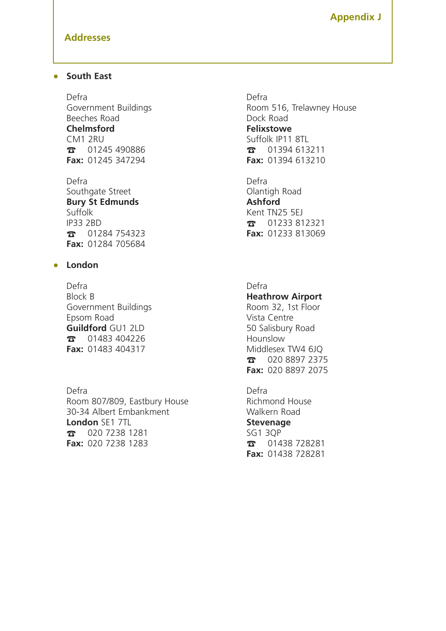# **Addresses**

#### ● **South East**

Defra Government Buildings Beeches Road **Chelmsford** CM1 2RU ☎ 01245 490886 **Fax:** 01245 347294

Defra Southgate Street **Bury St Edmunds** Suffolk IP33 2BD ☎ 01284 754323 **Fax:** 01284 705684

#### ● **London**

Defra Block B Government Buildings Epsom Road **Guildford** GU1 2LD ☎ 01483 404226 **Fax:** 01483 404317

Defra Room 807/809, Eastbury House 30-34 Albert Embankment **London** SE1 7TL ☎ 020 7238 1281 **Fax:** 020 7238 1283

Defra Room 516, Trelawney House Dock Road **Felixstowe** Suffolk IP11 8TL ☎ 01394 613211 **Fax:** 01394 613210

Defra Olantigh Road **Ashford** Kent TN25 5EJ ☎ 01233 812321 **Fax:** 01233 813069

Defra

#### **Heathrow Airport**

Room 32, 1st Floor Vista Centre 50 Salisbury Road Hounslow Middlesex TW4 6JQ ☎ 020 8897 2375 **Fax:** 020 8897 2075

Defra Richmond House Walkern Road **Stevenage** SG1 3QP ☎ 01438 728281 **Fax:** 01438 728281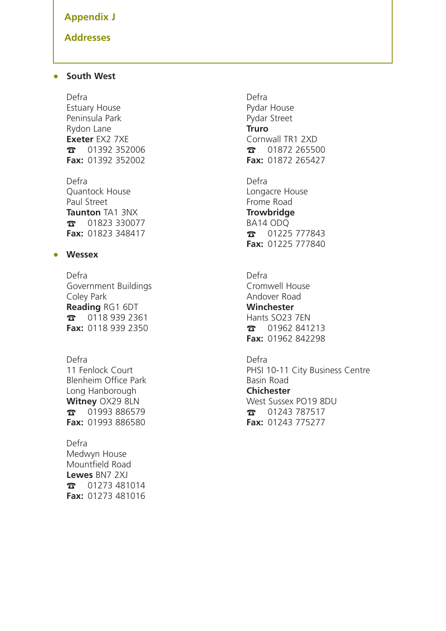#### **Appendix J**

#### **Addresses**

# ● **South West**

Defra Estuary House Peninsula Park Rydon Lane **Exeter** EX2 7XE ☎ 01392 352006 **Fax:** 01392 352002

Defra Quantock House Paul Street **Taunton** TA1 3NX ☎ 01823 330077 **Fax:** 01823 348417

#### ● **Wessex**

Defra Government Buildings Coley Park **Reading** RG1 6DT ☎ 0118 939 2361 **Fax:** 0118 939 2350

Defra

11 Fenlock Court Blenheim Office Park Long Hanborough **Witney** OX29 8LN ☎ 01993 886579 **Fax:** 01993 886580

Defra Medwyn House Mountfield Road **Lewes** BN7 2XJ ☎ 01273 481014 **Fax:** 01273 481016

Defra Pydar House Pydar Street **Truro** Cornwall TR1 2XD ☎ 01872 265500 **Fax:** 01872 265427

Defra Longacre House Frome Road **Trowbridge** BA14 ODQ ☎ 01225 777843 **Fax:** 01225 777840

Defra

Cromwell House Andover Road **Winchester** Hants SO23 7EN ☎ 01962 841213 **Fax:** 01962 842298

Defra PHSI 10-11 City Business Centre Basin Road **Chichester**  West Sussex PO19 8DU ☎ 01243 787517 **Fax:** 01243 775277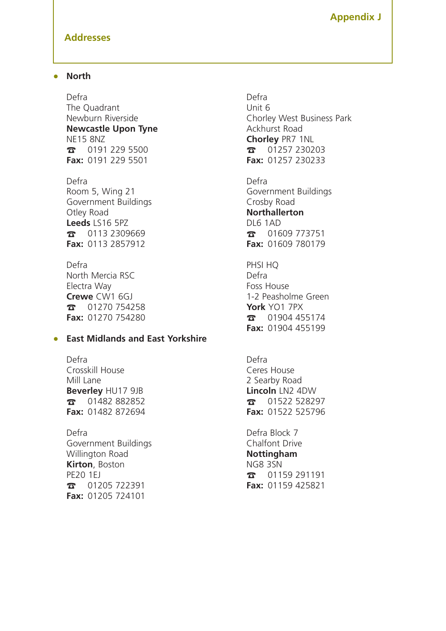# **Addresses**

#### ● **North**

Defra The Quadrant Newburn Riverside **Newcastle Upon Tyne** NE15 8NZ ☎ 0191 229 5500 **Fax:** 0191 229 5501

Defra Room 5, Wing 21 Government Buildings Otley Road **Leeds** LS16 5PZ ☎ 0113 2309669 **Fax:** 0113 2857912

Defra North Mercia RSC Electra Way **Crewe** CW1 6GJ ☎ 01270 754258 **Fax:** 01270 754280

#### ● **East Midlands and East Yorkshire**

Defra Crosskill House Mill Lane **Beverley** HU17 9JB ☎ 01482 882852 **Fax:** 01482 872694

Defra Government Buildings Willington Road **Kirton**, Boston PE20 1EJ ☎ 01205 722391 **Fax:** 01205 724101

Defra Unit 6 Chorley West Business Park Ackhurst Road **Chorley** PR7 1NL  $\bar{x}$  01257 230203 **Fax:** 01257 230233

Defra Government Buildings Crosby Road **Northallerton** DL6 1AD ☎ 01609 773751 **Fax:** 01609 780179

PHSI HQ Defra Foss House 1-2 Peasholme Green **York** YO1 7PX ☎ 01904 455174 **Fax:** 01904 455199

Defra Ceres House 2 Searby Road **Lincoln** LN2 4DW ☎ 01522 528297 **Fax:** 01522 525796

Defra Block 7 Chalfont Drive **Nottingham** NG8 3SN ☎ 01159 291191 **Fax:** 01159 425821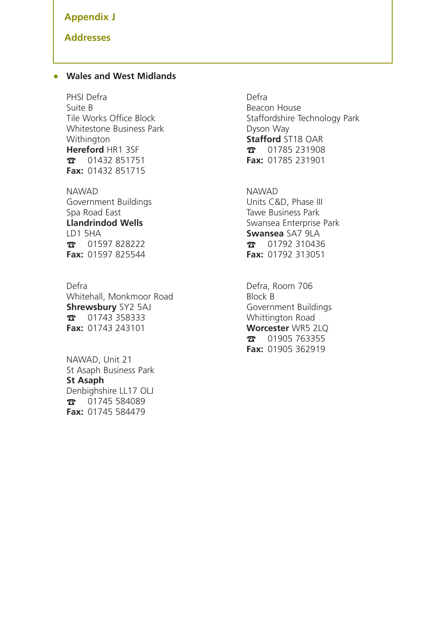#### **Appendix J**

# **Addresses**

#### ● **Wales and West Midlands**

PHSI Defra Suite B Tile Works Office Block Whitestone Business Park Withington **Hereford** HR1 3SF ☎ 01432 851751 **Fax:** 01432 851715

NAWAD Government Buildings Spa Road East **Llandrindod Wells** LD1 5HA ☎ 01597 828222 **Fax:** 01597 825544

Defra Whitehall, Monkmoor Road **Shrewsbury** SY2 5AJ ☎ 01743 358333 **Fax:** 01743 243101

NAWAD, Unit 21 St Asaph Business Park **St Asaph** Denbighshire LL17 OLJ ☎ 01745 584089 **Fax:** 01745 584479

Defra Beacon House Staffordshire Technology Park Dyson Way **Stafford** ST18 OAR ☎ 01785 231908 **Fax:** 01785 231901

NAWAD Units C&D, Phase III Tawe Business Park Swansea Enterprise Park **Swansea** SA7 9LA ☎ 01792 310436 **Fax:** 01792 313051

Defra, Room 706 Block B Government Buildings Whittington Road **Worcester** WR5 2LQ ☎ 01905 763355 **Fax:** 01905 362919